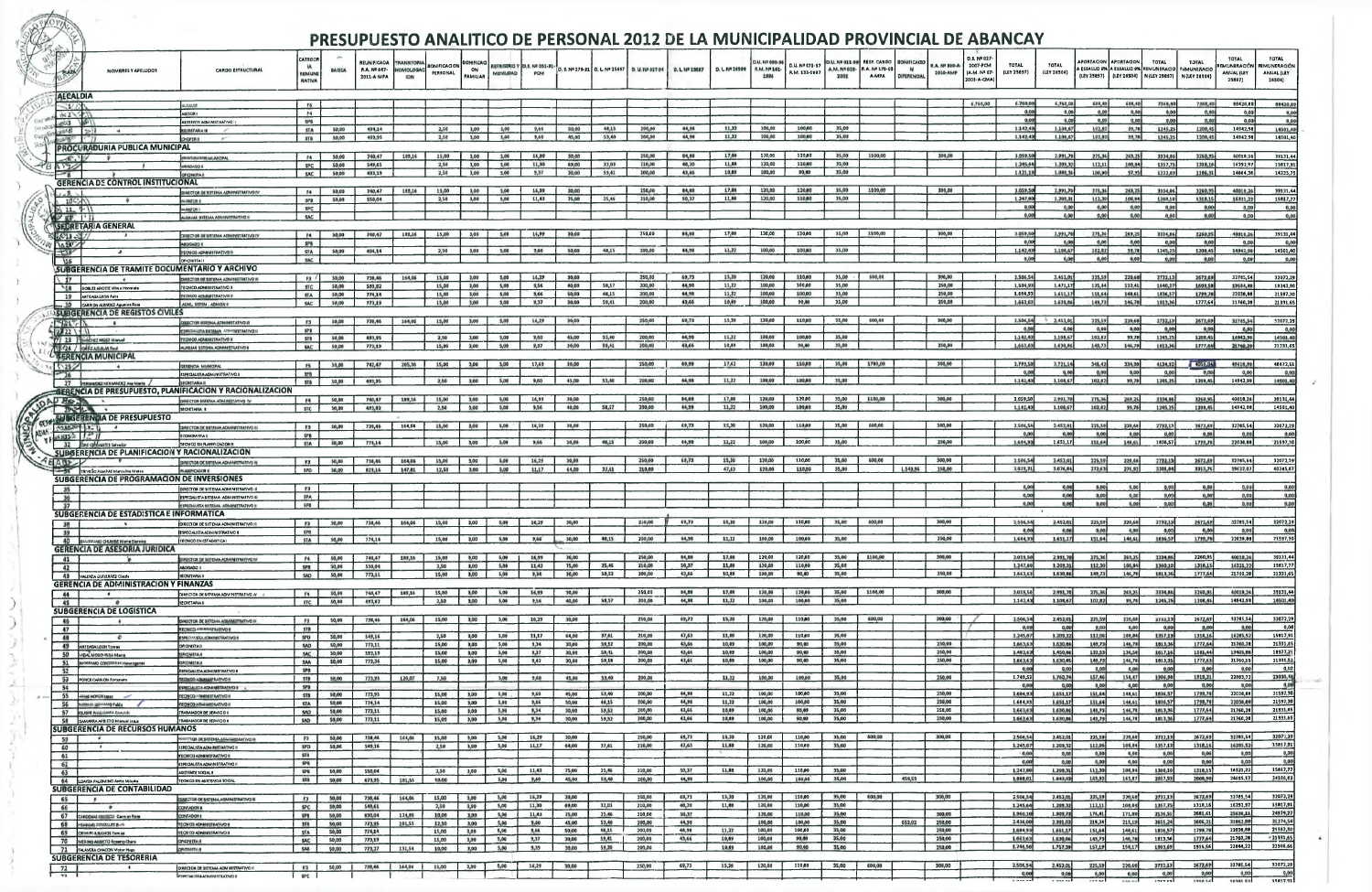|                 |                        |                                                                              |                                                                                                    |                                                        |                |                                                  |                                                    |                                 | PRESUPUESTO ANALITICO DE PERSONAL 2012 DE LA MUNICIPALIDAD PROVINCIAL DE ABANCAY |                                            |                |                |                                                    |                 |                 |                                        |                                 |                                        |                                                      |                                        |                           |                                                        |                       |                      |                       |                                                                                               |                    |                               |                                              |                                                                       |
|-----------------|------------------------|------------------------------------------------------------------------------|----------------------------------------------------------------------------------------------------|--------------------------------------------------------|----------------|--------------------------------------------------|----------------------------------------------------|---------------------------------|----------------------------------------------------------------------------------|--------------------------------------------|----------------|----------------|----------------------------------------------------|-----------------|-----------------|----------------------------------------|---------------------------------|----------------------------------------|------------------------------------------------------|----------------------------------------|---------------------------|--------------------------------------------------------|-----------------------|----------------------|-----------------------|-----------------------------------------------------------------------------------------------|--------------------|-------------------------------|----------------------------------------------|-----------------------------------------------------------------------|
|                 | <b>PLAZA</b>           | NOMBRES Y APELLIDOS                                                          | <b>CARGO ESTRUCTURAL</b>                                                                           | <b>CATEGOR</b><br><b>IA</b><br>REMUNE<br><b>RATIVA</b> | <b>BASICA</b>  | <b>REUNIFICADA</b><br>R.A. Nº 647-<br>2011-A-MPA | <b><i>TRANSITORI</i></b><br>OMOLOGAC<br><b>ION</b> | <b>BONIFICACION</b><br>PERSONAL | IOMFICAC<br>ON<br>MOVILIOAD<br><b>FAMILIAR</b>                                   | <b>REFRIGERIO Y 10.5. Nº 031-91</b><br>PCM |                |                | D. S. Nº 276-91   D. L. Nº 25697   D. U. Nº 037-94 | D. L. Nº 25897  | D. L Nº 26504   | D.U. Nº 090-94<br>R.M. Nº 161-<br>1996 | D.U. Nº 173-97<br>R.M. 131-1997 | D.U. Nº 011-91<br>A.M. N# 023-<br>2002 | <b>RESP. CARGO</b><br>R.A. Nº 175-05<br><b>A-MPA</b> | <b>UONIFICACK</b><br>N.<br>DIFERENCIAL | R.A. Nº 330-A<br>2010-AMP | D.S. Nº 027<br>2007-PCM<br>(A.M. Nº 07-<br>2001-A-CMA) | TOTAL<br>(LEY 25897)  | TOTAL<br>(LEY 26504) | APORTACION APORTACION | A ESSALUO 9% A ESSALUD 9% RIMUNERACIO E EMUNERACIO<br>(LEY 25897) (LEY 26504)   N (LEY 25897) | <b>TOTAL</b>       | TOTAL<br><b>N (LEY 28904)</b> | TOTAL<br>REMUNERACIÓ<br>ANUAL (LEY<br>25697) | <b>TOTAL</b><br>REMUNERACIÓN<br><b>ANUAL (LEY</b><br>26504)           |
|                 |                        | <b>ALCALDIA</b>                                                              |                                                                                                    |                                                        |                |                                                  |                                                    |                                 |                                                                                  |                                            |                |                |                                                    |                 |                 |                                        |                                 |                                        |                                                      |                                        |                           | 6,760,00                                               | 6.760,00              | 6,760,00             | 608.40                | 608,40                                                                                        | 7368,40            | 7368,40                       |                                              |                                                                       |
|                 | $-10.2$<br>$156.2 - 2$ |                                                                              | <b>MALLAN</b><br><b>I ROZES</b>                                                                    | F6<br>F4                                               |                |                                                  |                                                    |                                 |                                                                                  |                                            |                |                |                                                    |                 |                 |                                        |                                 |                                        |                                                      |                                        |                           |                                                        | 0.0<br>0.00           | 0.00<br>0,00         | 0.0<br>0.00           | 0,00<br>0,00                                                                                  | 0,00<br>0,00       | 0,00<br>0,00                  | 88420,80<br>0.00                             | 00420,0<br>0,0                                                        |
|                 |                        | 203  201<br>in the factor                                                    | SISTENTE ADMINISTRATIVO I<br><b>ECRETABIA II</b>                                                   | SPB<br><b>STA</b>                                      | 50,00          | 494,14                                           |                                                    | 2,50                            | 3,00<br>5,00                                                                     | 9,66                                       | 50,00          | 48,15          | 200,00                                             | 44,98           | 11,22           | 100,00                                 | 100,00                          | 35,00                                  |                                                      |                                        |                           |                                                        | 1.142,43              | 1,108,67             | 102,82                | 99,78                                                                                         | 1245.25            | 1208,45                       | 0,00<br>14942.98                             | 0,0<br>14501,4                                                        |
|                 |                        | <b>SARATION</b><br>PROCURADURIA PUBLICA MUNICIPAL                            | <b>DHOPER III</b>                                                                                  | STB                                                    | 50,00          | 493,95                                           |                                                    | 2,50                            | 3,00<br>5,00                                                                     | 9,60                                       | 45,00          | 53,40          | 200,00                                             | 64,98           | 11,72           | 100,00                                 | 100,00                          | 35,00                                  |                                                      |                                        |                           |                                                        | 1.142,43              | 1,106,67             | 102,82                | 39,78                                                                                         | 1245,25            | 1208,45                       | 14942,98                                     | 14501,4                                                               |
|                 |                        | $-6.16$                                                                      | <b>GOOD BAROE MUNICIPA</b><br><b>LADDING</b>                                                       | F4  <br>SPC                                            | 50,00<br>50,00 | 740,47<br>549,61                                 | 189,16                                             | 15,00<br>2,50                   | 3,00<br>5,00<br>3,00<br>5,00                                                     | 16,99<br>11,30                             | 30,00<br>69,00 | 32,03          | 250,00<br>210,00                                   | 04,00<br>46,20  | 17,98<br>11,68  | 120,00<br>120,00                       | 120,00<br>110,00                | 35,00<br>35,00                         | 1100,00                                              |                                        | 300,00                    |                                                        | 3.059.50<br>1.245,64  | 2.991.70<br>1.209,3  | 275,36<br>112,11      | 269,25<br>100,04                                                                              | 3334,86<br>1357.75 | 3760,95<br>1316,16            | 40018,26<br>16292,9                          | 39131,4<br>15817,9                                                    |
|                 | 1722<br>$-8$           |                                                                              | <b>OFICINITA</b>                                                                                   | <b>SAC</b>                                             | 50,00          | 493,19                                           |                                                    | 2,50                            | 3,00<br>5,00                                                                     | 9,37                                       | 30,00          | 59,41          | 200,00                                             | 43,66           | 10,89           | 100,00                                 | 90,00                           | 35,00                                  |                                                      |                                        |                           |                                                        | 1.121,13              | 1.088,36             | 100,90                | 97.95                                                                                         | 1222,03            | 1166,31                       | 14664,38                                     | 14235,7                                                               |
|                 | $1 - 9 - 1$            | GERENCIA DE CONTROL INSTITUCIONAL                                            | INECTOR DE USTEMA ADMINISTRATIVO IN                                                                | F4                                                     | 50,00          | 740,47                                           | 189,16                                             | 15,00                           | 3,00<br>5,00                                                                     | 16,99                                      | 30,00          |                | 250,00                                             | 84,88           | 17,08           | 120,00                                 | 120,00                          | 35,00                                  | 1100,00                                              |                                        | 300,00                    |                                                        | 3.059,50              | 2.991,70             | 275,36                | 269,25                                                                                        | 3334,66            | 3260,95                       | 40018,2                                      | 39131,4                                                               |
|                 |                        | $10^{\circ}$<br>$\geq 11$ , $\frac{1}{2}$                                    | <b>ILIBRATION II</b><br><b>LESIZ OR I</b>                                                          | SPB<br><b>SPC</b>                                      | 50,00          | \$50,04                                          |                                                    | 2,50                            | 3,00<br>5,00                                                                     | 11,43                                      | 75,00          | 25,46          | 210,00                                             | 50,37           | 11,46           | 120,00                                 | 110,00                          | 35,00                                  |                                                      |                                        |                           |                                                        | 1.247,60<br>0,00      | 1.209,31<br>0,00     | 112,30<br>0,00        | 108,84<br>0,00                                                                                | 1360,10<br>0,00    | 1316,15<br>0,00               | 16321,2<br>0,00                              | 15817,7<br>0,00                                                       |
|                 |                        | $\times$ EE $\pm$ 1.1.<br><b>ISEDRETARIA GENERAL</b>                         | II OVITARTEMINDA ADMINITRATIVO II                                                                  | <b>SAC</b>                                             |                |                                                  |                                                    |                                 |                                                                                  |                                            |                |                |                                                    |                 |                 |                                        |                                 |                                        |                                                      |                                        |                           |                                                        | 0,00                  | 0.00                 | 0,00                  | 0,00                                                                                          | 0,00               | 0,00                          | 0,00                                         | 0,00                                                                  |
|                 | $4.643 - 1.4$<br>ABY   |                                                                              | <b>IRECTOR DE ESTENA ADMINISTRATIVO F</b><br><b>IOGADO1</b>                                        | <b>F4</b><br><b>SPB</b>                                | 50,00          | 740,47                                           | 109,16                                             | 15,00                           | 3,00<br>5,00                                                                     | 16,99                                      | 30,00          |                | 250.00                                             | 64,88           | 17,08           | 120,00                                 | 120.00                          | 35,00                                  | 1100,00                                              |                                        | 300,00                    |                                                        | 3.059,50<br>0,00      | 2,991,70<br>0.0      | 275,36-<br>0,00       | 269,25<br>0,00                                                                                | 3334,06<br>0,00    | 3260,95<br>0,00               | 40018,26<br>0,00                             | 39131,44                                                              |
|                 | $+35$                  | $\overline{a}$                                                               | ECNICO ADMINISTRATIVO F<br><b>HONSTAIL</b>                                                         | STA -<br><b>SAC</b>                                    | 50,00          | 494,14                                           |                                                    | 2,50                            | 3,00<br>5,00                                                                     | 9,66                                       | 50,00          | 48,15          | 200,00                                             | 44,98           | 11,22           | 100,00                                 | 100,00                          | 35,00                                  |                                                      |                                        |                           |                                                        | 1.142,434<br>0,00     | 1.100,67<br>0.00     | 102,02<br>0,00        | 99,78<br>0,00                                                                                 | 1245,25<br>0,00    | 1208,45<br>0,00               | 14942,98<br>0,00                             | 14501,40<br>0,00                                                      |
|                 | $\sqrt{16}$            | SUBGERENCIA DE TRAMITE DOCUMENTARIO Y ARCHIVO                                |                                                                                                    |                                                        |                |                                                  |                                                    |                                 |                                                                                  |                                            |                |                |                                                    |                 |                 |                                        |                                 |                                        |                                                      |                                        |                           |                                                        |                       |                      |                       |                                                                                               |                    |                               |                                              |                                                                       |
|                 |                        | 48 AOBLES ARCITE VIIm a Honorate                                             | CTOR OF SISTEMA ADMINISTRATIV<br>ECNICO ADMINISTRATIVO II                                          | F3<br><b>STC</b>                                       | 50,00<br>50,00 | 738,46<br>593,82                                 | 164,06                                             | 15,00<br>15,00                  | 5,00<br>3,00<br>3,00<br>5,00                                                     | 16,29<br>9,56                              | 30,00<br>40,00 | 58,57          | 250,00<br>200,00                                   | 69,73<br>44,98  | 15,20<br>11,72  | 120,00<br>100,00                       | 110,60<br>100,00                | 35,00<br>35,00                         | 600,00                                               |                                        | 300,00<br>250,00          |                                                        | 2.506,54<br>1.504,93  | 2.452,01<br>1.471,17 | 225,59<br>135,44      | 220,68<br>132,41                                                                              | 2732,13<br>1640,37 | 3672,69<br>1603,50            | 32785,54<br>19684,48                         | 32072,29<br>19242,90                                                  |
|                 |                        | 19 ARTEAGA LEON Fulls<br>20 CARRION ALENDEZ Agustina Rosa                    | <b>ECHICO ADMINISTRATIVO II</b><br><b>NUML USTEM . ADMON #</b>                                     | <b>STA</b><br><b>SAC</b>                               | 50,00<br>50,00 | 774,14<br>773,19                                 |                                                    | 15,00<br>15,00                  | 3,00<br>5,00<br>3,00<br>5,00                                                     | 9,66<br>9,37                               | 50,00<br>30,00 | 48,15<br>59,41 | 200,00<br>200,00                                   | 44,98<br>43,66  | 11, 22<br>10,09 | 100,00<br>100,00                       | 100.00<br>90,00                 | 35,00<br>35,00                         |                                                      |                                        | 250,00<br>250,00          |                                                        | 1.684,93<br>1.663,63  | 1,651,17<br>1.630,86 | 151,64<br>149,73      | 148,61<br>146,78                                                                              | 1836,57<br>1813,36 | 1799,78<br>1777,64            | 22036,88<br>21760,28                         | 21597,30<br>21331,6                                                   |
|                 | 5217                   | <b>SUBGERENCIA DE REGISTOS CIVILES</b>                                       | BECTOR SISEMA ADMINISTATIVO III                                                                    | F3                                                     | 50,00          | 738,46                                           | 164,06                                             | 15,00                           | 5,00<br>3,00                                                                     | 16,29                                      | 30,00          |                | 250,00                                             | 69,73           | 15,20           | 120,00                                 | 110,00                          | 35,00                                  | 600,00                                               |                                        | 300,00                    |                                                        |                       | 2.506,54 2,452,01    | 225,59                | 220,68                                                                                        | 2732,13            | 2672,69                       | 32705,54                                     | 32072,29                                                              |
|                 | 22111                  |                                                                              | <b>DVITAAISTA BETXAA AFARINTAATIVO</b>                                                             | SPB<br>STB                                             | 50,00          | 493,95                                           |                                                    | 2,50                            | 3,00<br>5,00                                                                     | 9,50                                       | 45,00          | 53,40          | 200,00                                             | 44,99           | 11,22           | 100,00                                 | 100,00                          | 35,00                                  |                                                      |                                        |                           |                                                        | 0,00<br>1.142,43      | 0.00<br>1.108,67     | 0,00<br>102,02        | 0,00<br>99,781                                                                                | 0,00<br>1245,25    | 0,00<br>1208,45               | 0,00<br>14942.98                             | 0,0<br>14501.40                                                       |
|                 |                        | 7 23 Fashbez REEZ Manual<br>TE-124 / ORREAGEMENT                             | ECHICO ADMINISTRATIVO<br><b>II DVITARTZENINGA ADMINITRATIVO II</b>                                 | <b>SAC</b>                                             | 50,00          | 773,19                                           |                                                    | 15,00                           | 5,00<br>3,00                                                                     | 9,37                                       | 30,00          | 59,41          | 200,00                                             | 43,66           | 10,89           | 100,00                                 | 99,90                           | 35,00                                  |                                                      |                                        | 250,00                    |                                                        | 1,663,63              | 1,630.86             | 149,73                | 146,78                                                                                        | 1013,36            | 1777,646                      | 21760.29                                     | 21331,69                                                              |
|                 | $\sqrt{25/1}$          | <b>EERENCIA MUNICIPAL</b>                                                    | GERENCIA MUNICIPA                                                                                  | FS                                                     | 50,00          | 742,47                                           | 205,36                                             | 15,00                           | 3,00<br>5,00                                                                     | 17,69                                      | 30,00          |                | 250,00                                             | 69,98           | 17,42           | 120,00                                 | 150,00                          | 35,00                                  | 1760,00                                              |                                        | 300,00                    |                                                        | 3.793,50              | 3,721,14             | 341,42                | 334,90                                                                                        | 4134,92            | 4056.04                       | 49616,90                                     | 48672,51                                                              |
|                 | $\sim$ 26              | 27 IFERNANDEZ HERNANDEZ Ana Marta                                            | <b>SPECIALISTA AOMINISTRATIVO</b><br><b>SECRETABLA II</b>                                          | <b>SPB</b><br>STB                                      | 50,00          | 493,95                                           |                                                    | 2,50                            | 5,00<br>3.00                                                                     | 9,60                                       | 45,00          | 53,40          | 200,00                                             | 44,98           | 11,22           | 100,00                                 | 100,00                          | 35,00                                  |                                                      |                                        |                           |                                                        | 0,000<br>1.142,43     | 0,00<br>1,108,67     | 0,00<br>102,82        | 0,00<br>99,78                                                                                 | 0,00<br>1245,25    | 0,00<br>1206,45               | 0,00<br>14942,98                             | 0,00<br>14501.40                                                      |
|                 |                        |                                                                              | <b>ESPENCIA DE PRESUPUESTO, PLANIFICACION Y RACIONALIZACION</b><br>DIRECTOR MATEMA ADMINISTATIVO 1 | F4                                                     | 50,00          | 740,47                                           | 169,16                                             | 15,00                           | 5,00<br>3,00                                                                     | 16,99                                      | 30,00          |                | 250,00                                             | 84,80           | 17,00           | 120,00                                 | 120,60                          | 35,00                                  | 1100,00                                              |                                        | 300,00                    |                                                        | 3.059,50              | 2.991,70             | 275,36                | 269,25                                                                                        | 3334,66            | 3260,95                       | 40018,26                                     | 39131,44                                                              |
|                 | <b>ADRO AO</b>         | 29.74                                                                        | <b>SECRETARIA II</b>                                                                               | STC                                                    | 50,00          | 493,62                                           |                                                    | 2,50                            | 3,00<br>5,00                                                                     | 9,56                                       | 40,00          | 58,57          | 200,00                                             | 44,98           | 11,22           | 100,00                                 | 100,00                          | 35,00                                  |                                                      |                                        |                           |                                                        | 1.142,43              | 1.108,67             | 102,82                | 99,78                                                                                         | 1245,25            | 1208,45                       | 14942.98                                     | 14501,40                                                              |
| of CENTIFY<br>Ê |                        | <b>SHISGERENGIA DE PRESUPUESTO</b><br>Petro of ACTI                          | DIRECTOR DE SISTEMA ADMINISTRATIVO I                                                               | 13                                                     | 50,00          | 738,46                                           | 164,06                                             | 15,00                           | 5,00<br>3,00                                                                     | 16,29                                      | 30,00          |                | 250,00                                             | 69,73           | 15,20           | 120,00                                 | 110,00                          | 35,00                                  | 600,00                                               |                                        | 300,00                    |                                                        | 2.506,54              | 2.452,01             | 225,59                | 220,68                                                                                        | 2732,13            | 7672,69                       | 32785,54                                     | 32072,29                                                              |
| $-740$          |                        | $Y_1$ with $Y_2$<br>32 SAE CIMINATES Salvador                                | CONOMISTAR<br><b>IECNICO EN PLANIFICACIÓN II</b>                                                   | <b>SPB</b><br><b>STA</b>                               | 50,00          | 774,14                                           |                                                    | 15,00                           | 3,00<br>5,00                                                                     | 9,66                                       | 50,00          | 48,15          | 200,00                                             | 44,98           | 11,22           | 100,00                                 | 100,00                          | 35,00                                  |                                                      |                                        | 250,00                    |                                                        | 0,00<br>1,684,936     | 0,00<br>1.651,17     | 0,00<br>151,64        | 0,00<br>140,61                                                                                | 0,00<br>1836,57    | 0,00<br>1799,78               | 0,00<br>22038,88                             | 0,00<br>21597,30                                                      |
|                 | ヒムロチント                 | SUBGERENCIA DE PLANIFICACION Y RACIONALIZACION                               | HAECTOR DE SISTEMA ADMINISTRATIVO                                                                  | <b>F3</b>                                              | 50.00          | 738,46                                           | 164,06                                             | 15,00                           | 3,00<br>5,00                                                                     | 16,29                                      | 30,00          |                | 250,00                                             | 69,73           | 15,20           | 120,00                                 | 110,60                          | 35,00                                  | 600,00                                               |                                        | 300,00                    |                                                        | 2,506,54              | 2,452,01             | 225,59                | 220,68                                                                                        | 2732,15            | 2672,69                       | 32785,54                                     | 32072,2                                                               |
|                 |                        | TRIVEGO PAMPAS Marceline Meteo<br>SUBGERENCIA DE PROGRAMACIÓN DE INVERSIONES | <b><i>FLAMIFICADOR H</i></b>                                                                       | <b>SPD</b>                                             | 50,00          | 829,16                                           | 147,81                                             | 12,50                           | 3,00<br>5,00                                                                     | 11,17                                      | 64,00          | 37,61          | 210,00                                             |                 | 47,63           | 120,00                                 | 110,00                          | 35,00                                  |                                                      | 1.143,96                               | 250,00                    |                                                        | 3,029,21              | 3.076,04.            | 272,638               | 276,92                                                                                        | 3301,84            | 3353,76                       | 39622,07                                     | 40245,07                                                              |
|                 | 35                     |                                                                              | DIRECTOR DE SISTEMA ADMINISTRATIVO                                                                 | F3<br><b>SPA</b>                                       |                |                                                  |                                                    |                                 |                                                                                  |                                            |                |                |                                                    |                 |                 |                                        |                                 |                                        |                                                      |                                        |                           |                                                        | 0,00                  | 0,00                 | 0,00<br>0,00          | 0,00<br>0,00                                                                                  | 0,02               | 0,00                          | 0,00<br>0,00                                 | 0,00<br>0,00                                                          |
|                 | 36<br>37               |                                                                              | <b>ESPECIALISTA SISTEMA ADMINISTRATIVO</b><br><b>ILDVITARTEMINGA, AMAITZIE AZMAINCIPEZ</b>         | <b>SPB</b>                                             |                |                                                  |                                                    |                                 |                                                                                  |                                            |                |                |                                                    |                 |                 |                                        |                                 |                                        |                                                      |                                        |                           |                                                        | 0.00                  | 0.00                 | 0.00                  | 0,00                                                                                          | 0.00               | 0.00                          | 0,00                                         | 0,00                                                                  |
|                 |                        | <b>SUBGERENCIA DE ESTADISTICA E INFORMATICA</b>                              | <b>DIRECTOR DE SISTEMA ADMIN</b>                                                                   |                                                        |                | 50.831 50.00 738.46 164.06                       |                                                    | 15.00                           | 3,00<br>5,00                                                                     | 16,29                                      | 30,00          |                | 250,00                                             | 69,73           | 15,20           | 120,00                                 | 110,60                          | 35,00                                  | 600,00                                               |                                        | 300.00                    |                                                        | 2.506,54              | 2.452,01             | 225,59                | 220,68                                                                                        | 3732,138           | 3672,69                       | 32765,54                                     | 32072,29                                                              |
|                 | 39                     | 40 groots and Grunds Merie Bervine                                           | <b>ESPECIALISTA ADMINISTRATIVO II</b><br><b>TECNICO EN ESTADISTICA I</b>                           | <b>SPB</b><br><b>STA</b>                               | 50,00          | 774,14                                           |                                                    | 15,00                           | 3,00<br>5,00                                                                     | 9,66                                       | 50,00          | 48,15          | 200,00                                             | 44,98           | 11,22           | 100,00                                 | 100,00                          | 35,00                                  |                                                      |                                        | 250,00                    |                                                        | 0.00<br>1,664,93      | 0,00<br>1.651,17     | 0.00<br>151,64        | 0,00<br>146,61                                                                                | 0,00<br>1636,57    | 0,00<br>1799,78               | 0.00<br>22038,88                             | 0,00<br>21597,30                                                      |
|                 | 41                     | <b>GERENCIA DE ASESORIA JURIDICA</b>                                         | DIRECTOR DE SISTEMA ADMINISTRATIVO IV                                                              | F4                                                     | 50,00          | 740,47                                           | 169,16                                             | 15,00                           | 9,00<br>5,00                                                                     | 16,99                                      | 30,00          |                | 250,00                                             | 64,66           | 17,00           | 120,00                                 | 120,00                          | 35,00                                  | 1100,00                                              |                                        | 300,00                    |                                                        | 3.059,50              | 2.991.70             | 275,36                | 269,25                                                                                        | 3334,66            | 3260,95                       | 40016,26                                     | 39131,44                                                              |
|                 | 42                     | 43 VALENCA GUTIERREZ Classe                                                  | <b>ABOGADO II</b><br><b>SECRETARIA II</b>                                                          | SPB<br><b>SAD</b>                                      | 50,00<br>50,00 | 550,04<br>773,11                                 |                                                    | 2,50<br>15,00                   | 3,00<br>5,00<br>5,09<br>3,00                                                     | 11,43<br>9,34                              | 75,00<br>30,00 | 25,46<br>59,52 | 210,00<br>200,00                                   | \$0,37<br>43,66 | 11,60<br>10,89  | 120,00<br>100,00                       | 110,00<br>90,00                 | 35,00<br>35,00                         |                                                      |                                        | 250,00                    |                                                        | 1,247,60<br>1,663,63  | 1,209,31<br>1,630,86 | 112,30<br>149,73      | 108,641<br>146,78                                                                             | 1360,10<br>1813,36 | 1316,15<br>1777.64            | 16321,22<br>21750,28                         | 15817,77<br>21331,65                                                  |
|                 |                        | <b>GERENCIA DE ADMINISTRACION Y FINANZAS</b>                                 |                                                                                                    |                                                        |                |                                                  |                                                    |                                 |                                                                                  |                                            |                |                |                                                    |                 |                 |                                        |                                 |                                        | 1100,00                                              |                                        | 300,00                    |                                                        | 3.059,50              |                      |                       |                                                                                               |                    |                               | 40018,26                                     |                                                                       |
|                 | 44<br>45               | $\cdot$                                                                      | DIRECTOR DE SISTEMA ADMINISTRATIVO /V /<br><b>ILAIRAT3RD3</b>                                      | F4<br>STC                                              | 50,00<br>50,00 | 740,47<br>493,82                                 | 189,16                                             | 15,00<br>2,50                   | 5,00<br>3,00<br>3,00<br>5,00                                                     | 16,99<br>9,56                              | 30,00<br>40,00 | 58,57          | 250,00<br>200,00                                   | 84,88<br>44,98  | 17,08<br>11,22  | 120,00<br>100,00                       | 120,00<br>100,00                | 35,00<br>35,00                         |                                                      |                                        |                           |                                                        | 1.142,43              | 2.991,70<br>1.108,67 | 275,36<br>107,82      | 269,25<br>99,78                                                                               | 3334,86<br>1245,25 | 3260,95<br>1208,45            | 14942,98                                     | 39131,44<br>14501,40                                                  |
|                 | 46                     | <b>SUBGERENCIA DE LOGISTICA</b>                                              | DIRECTOR DE SISTEMA ADMINISTRATIVO III                                                             | <b>F3</b>                                              | 50,00          | 738,46                                           | 164,06                                             | 15,00                           | 3,00<br>5,00                                                                     | 16,29                                      | 30,00          |                | 250,00                                             | 69,73           | 15,20           | 120,00                                 | 110,00                          | 35,00                                  | 600,00                                               |                                        | 300,00                    |                                                        | 2.506,54              | 2.452,01             | 225,59                | 220,68                                                                                        | 2732,13            | 2672,69                       | 32765,54                                     | 32072,29                                                              |
|                 | 47<br>48               | $\circ$                                                                      | <b>FECNICO APPARATIVO R</b><br><b>CYTECHLISTA ADMINISTRATIVO</b>                                   | <b>STB</b><br>SPD                                      | 50,00          | 549,16                                           |                                                    | 2,50                            | 3,00<br>5,00                                                                     | 11,17                                      | 64,00          | 37,61          | 210,00                                             | 47,63           | 11,66           | 120,00                                 | 110,00                          | 35,00                                  |                                                      |                                        |                           |                                                        | 0,00<br>1.245,07      | 0,00<br>1,209,32     | 0,00<br>112,06        | 0,00<br>108,84                                                                                | 0,00<br>1357,13    | 0,008<br>1310,16              | 0,00<br>16205,52                             | 0,00<br>15817,91                                                      |
|                 |                        | 49 <b>ANTEAGA LEON Tom RK</b><br>50 VIDAL MOSCHISA Maria                     | <b>OFICINSTA II</b><br><b>DRIGHTAN</b>                                                             | SAD<br><b>SAC</b>                                      | 50,00<br>50,00 | 773,11<br>593,19                                 |                                                    | 15,00<br>15,00                  | 5,00<br>3,00<br>5,00<br>5,00                                                     | 9,34<br>9,37                               | 30,00<br>30,00 | 59,52<br>59,41 | 200,00<br>200,00                                   | 43,66<br>43,66  | 10,69<br>10,09  | 100,00<br>100,00                       | 90,00<br>90,00                  | 35,00<br>35,00                         |                                                      |                                        | 250,00<br>250,00          |                                                        | 1,663,63<br>1,483,636 | 1,630,66<br>1.450,86 | 149,73<br>133,53      | 146,70<br>130,58                                                                              | 1513,36<br>1617,16 | 1777,64<br>1581,44            | 21760,28<br>19405,88                         | 21331,65<br>18977,25                                                  |
|                 | 52                     | 51 IMPARANO CONTRERAS Heringgenes                                            | <b>ILATIMORO</b><br><b>ESPECIALISTA ADMINISTRATIVO #</b>                                           | SAA<br>spa                                             | 50,00          | 773,36                                           |                                                    | 15,00                           | 5,00<br>3,00                                                                     | 9,42                                       | 30,00          | 59,18          | 200,00                                             | 43,66           | 10,89           | 100,00                                 | 90,00                           | 35,00                                  |                                                      |                                        | 250,00                    |                                                        | 1.663,62<br>0,00      | 1.630,05<br>0,00     | 149,730<br>0,00       | 146,78<br>0,00                                                                                | 1813,35<br>0,00    | 1777,63<br>0,00               | 21760,15<br>0,00                             | $\frac{21331,52}{0,00}$                                               |
|                 |                        | 53 PONCE CARRION Fortunato                                                   | <b>IF OVERALL ABABASION COMPOSE</b>                                                                | <b>STB</b>                                             | 50,00          |                                                  | 773,95 120,07 7,50                                 |                                 | 5,00                                                                             | 9,60                                       | 45,00          | 53,40          | 200,00                                             |                 | 11,22           | 100,00                                 | 100,00                          | 35,00                                  |                                                      |                                        | 250,00                    |                                                        | 1,749,52<br>0,00      | 1,760,74<br>0,00     | 157,46<br>0,00        | 158,47<br>0,00                                                                                | 1906,90<br>0,00    | 1919, 21<br>0.00 <sub>1</sub> | 22883,72<br>0,00                             | 23030,44<br>$^{0.0}$                                                  |
|                 | 54                     | 55 ARMSHOVOLIMME                                                             | <b>ESPECIALIZE ADMINISTRATIVO II</b><br><b>TECNICO ATMINISTRATIVO II</b>                           | SPB<br><b>STB</b>                                      | 50,00          | 773,95                                           |                                                    | 15,00                           | 3,00<br>5,00                                                                     | 9,60<br>9,66                               | 45,00          | 53,40<br>48,15 | 200,00<br>200,00                                   | 44,98<br>44,98  | 11,22<br>11,22  | 100,00<br>100,00                       | 100,00<br>100,00                | 35,00<br>35,00                         |                                                      |                                        | 250,00<br>250,00          |                                                        | 1.684,93<br>1.684,93  | 1.651,17<br>1.651,17 | 151,64<br>151,64      | 148,61<br>140,61                                                                              | 1836,57<br>1836.57 | 1799,78<br>1799,78            | 22036,68<br>22038,08                         | 21597,30<br>21597,30                                                  |
|                 | 56                     | <b>SHAR CALLING ALARMAY</b><br>57 CAMPE PHOGHAMMA Romando                    | <b>IF OVITARTISHING CONDITI</b><br><b>RABAJADOR DE SERVICIÓ II</b>                                 | <b>STA</b><br><b>SAD</b>                               | 50,00<br>50,00 | 774,14<br>773,11                                 |                                                    | 15,00<br>15,00                  | 5,00<br>3,00<br>5,00<br>3,00                                                     | 9,34                                       | 50,00<br>30,00 | 59,52          | 200,00                                             | 43,66           | 10,89           | 100,00                                 | 90,00                           | 35,00                                  |                                                      |                                        | 250,00                    |                                                        | 1,663,63              | 1.630,66             | 149,73                | 146,78                                                                                        | 1013,36            | 1777,64                       | 21760,28                                     | 21331,65                                                              |
|                 |                        | 58 GAMARA ARBIETO Manuel Jeaus<br><b>SUBGERENCIA DE RECURSOS HUMANOS</b>     | RABAJADOR DE 1ERVICIO H                                                                            | SAD                                                    | 50,00          | 773,11                                           |                                                    | 15,00                           | 3,00<br>5,00                                                                     | 9,34                                       | 30,00          | 59,52          | 200,00                                             | 43,66           | 10,89           | 100,00                                 | 90,00                           | 35,00                                  |                                                      |                                        | 250,00                    |                                                        | 1.663,63              | 1.630,86             | 149,73                | 146,78                                                                                        | 1013,36            | 1777,64                       | 21760,28                                     | 21331,65                                                              |
|                 | 59<br>60               | $\rightarrow$<br>$\cdot$                                                     | IN OVERSTRANDING ANOTHER SO ROCKER<br>ESPECIALISTA ADMINISTARTIVO I                                | <b>F3</b><br><b>SPD</b>                                | 50,00<br>50,00 | 738,46<br>549,16                                 | 164,06                                             | 15,00<br>2,50                   | 5,00<br>3,00<br>3,00<br>5,00                                                     | 16,29<br>11,17                             | 30,00<br>64,00 | 37,61          | 250,00<br>210,00                                   | 69,73<br>47,63  | 15,20<br>11,69  | 120,00<br>120,00                       | 110,00<br>110,00                | 35,00<br>35,00                         | 600,00                                               |                                        | 306,00                    |                                                        | 2.506,54<br>1.245,07  | 2.452,01<br>1,209,32 | 225,59<br>112,06      | 220,68<br>100,04                                                                              | 2732,13<br>1357,13 | 2672,69<br>1910,16            | 32765,54<br>16205.52                         | 3207'2.29<br>15817,91                                                 |
|                 | 61<br>62               |                                                                              | <b>COVITARTEMENTS CORDINAT</b><br>ESPECIALISTA ADMINISTRATIVO I                                    | STB<br><b>SPB</b>                                      |                |                                                  |                                                    |                                 |                                                                                  |                                            |                |                |                                                    |                 |                 |                                        |                                 |                                        |                                                      |                                        |                           |                                                        | $-0,00$<br>0,00       | 0,00<br>0,00         | 0,00<br>0,00          | 0,00<br>0,00                                                                                  | 0,00<br>0,00       | 0,00<br>0,00                  | 0,00<br>0,00                                 | $\begin{array}{r} 0,00 \\ \hline 0,00 \\ \hline 15817,77 \end{array}$ |
|                 | 63                     |                                                                              | <b>IL JADOZ 3TRETZA</b><br>ECNICO EN ASISTENCIA SOCIAL                                             | 5P8<br>STB                                             | 50,00<br>50,00 | 550,04<br>673,95                                 | 101,55                                             | 2,50<br>10.00                   | 5,00<br>3,00<br>5,00                                                             | 11,43<br>9,60                              | 75,00<br>45,00 | 25,46<br>53,40 | 210,00<br>200,00                                   | 50,37<br>44,96  | 11,88           | 120,00<br>100,00                       | 110,00<br>100,00                | 35,00<br>35,00                         |                                                      | 459,53                                 |                           |                                                        | 1.247,80<br>1.808.01  | 1.209,31<br>1.843,03 | 112,30<br>169,92      | 106,84<br>165,07                                                                              | 1360,10<br>2057,93 | 1310,15<br>2008,90            | 16321.22<br>24695,17                         | 24106,83                                                              |
|                 |                        | 64 LOAYZA PALOMINO Anita Milurie<br><b>SUBGERENCIA DE CONTABILIDAD</b>       |                                                                                                    |                                                        |                |                                                  |                                                    |                                 |                                                                                  |                                            |                |                |                                                    |                 |                 |                                        |                                 |                                        |                                                      |                                        |                           |                                                        |                       |                      |                       |                                                                                               |                    | 2672,69                       | 32785,54                                     | 32072,29                                                              |
|                 | 65<br>66               | $\overline{ }$<br>$\bullet$                                                  | <b>BI DVITARTZMINIGA, AMST2 &amp; 30 RDT3&amp;ID</b><br><b>II RODATMOD</b>                         | F3 50,00<br>SPC                                        | 50,00          | 738,46<br>549,61                                 | 164,06                                             | 15,00<br>2,50                   | 3,00<br>5,00<br>5,00<br>3,00                                                     | 16,29<br>11,30                             | 30,00<br>69,00 | 32,03          | 250,00<br>210,00                                   | 69,73<br>48,20  | 15,20<br>11,00  | 120,00<br>120,00                       | 110,00<br>110,00                | 35,00<br>35,00                         | 600,00                                               |                                        | 300,00                    |                                                        | 2.506,54<br>1.245,64  | 2,452,01<br>1.209,32 | 225,59<br>112,11      | 220,687<br>100,84                                                                             | 2732,13<br>1357,75 | 1318,16                       | 16292,97                                     | 15817,91                                                              |
|                 |                        | 67 ICADENA GEORGE Carmen Rase<br>68 HUAMAN COMBALES Bush                     | <b>I ROGATMOD</b><br><b>TECHICO ADMINISTRATIVO II</b>                                              | SPB 50,00<br>578 50,00                                 |                | 830,04<br>773,95                                 | 124,00<br>101,55 12.50                             | 10,00                           | 5,00<br>3,00<br>3,00<br>5,00                                                     | 11,43<br>9,50                              | 75,00<br>45,00 | 25,46<br>53,40 | 210,00<br>200,00                                   | 50,37<br>44,99  |                 | 120,00<br>100,00                       | 110,00<br>100,00                | 35,00<br>35,00                         |                                                      | 652.02                                 | 300,00<br>250,00          |                                                        | 1,960,10<br>2.436,00  | 1.909,73<br>2,391,02 | 176,41<br>219,24      | 171,60<br>215,19                                                                              | 2136,51<br>2655,24 | 2081,61<br>2606,21            | 25636,11<br>31862,88                         | 24979,27<br>31274,54                                                  |
|                 |                        | 69 ORIHUMA RAMOS TOM BE<br>70 MERINO ARBIETO Roswrio Charo                   | <b>TECNICO ADMINISTRATIVO I</b><br><b>ORONSTAN</b>                                                 | STA 50,00<br><b>SAC</b>                                | 50,00          | 774,14<br>773,19                                 |                                                    | 15,00<br>15,00                  | 5,00<br>3,00<br>5,00<br>3,00                                                     | 9,66<br>9,37                               | 50,00<br>30,00 | 46,15<br>59,41 | 200,00<br>200,00                                   | 44,98<br>43,66  | 11,22<br>10,09  | 100,00<br>100,00                       | 100,00<br>90,00                 | 35,00<br>35,00                         |                                                      |                                        | 250,00<br>250,00          |                                                        | 1.684,93<br>1.663,63  | 1,651,17<br>1.630,06 | 151,64<br>149,73      | 148,61<br>146,78                                                                              | 1836,57<br>1813,36 | 1799.70<br>1777,64            | 22036,68<br>21760,28                         | 21597,30<br>$-21331,65$                                               |
|                 |                        | 71 TALAYERA CHACON Victor Hugo<br><b>SUBGERENCIA DE TESORERIA</b>            | ONOMITA B                                                                                          | SAB                                                    | 50,00          | 773,27                                           | 131,54                                             | 10,00                           | 5,00<br>3,00                                                                     | 9,39                                       | 30,00          | 59,30          | 200,00                                             |                 | 10,89           | 100,00                                 | 90,00                           | 35,00                                  |                                                      |                                        | 250,00                    |                                                        | 1.746,50              | 1.757,39             | 157,19                | 156,17                                                                                        | 1903,69            | 1915,56                       | 22844,22                                     | 22966,66                                                              |
|                 | 72                     | $\cdots$                                                                     | DIRECTOR DE SISTEMA ADMINISTRATIVO III                                                             | $\sqrt{1 - m^2}$                                       |                | F3   50,00   738,46   164,06   15,00             |                                                    |                                 | 5,00<br>3,00                                                                     | 16,29                                      | 30,00          |                | 250,00                                             | 69,73           | 15,20           | 120,00                                 | 110,60                          | 35,00                                  | 600,00                                               |                                        | 300,00                    |                                                        | 2,506,546             | 2,452,01             | 225,59                | 220,68                                                                                        | 2732,13<br>0,00    | 2672,691<br>0,00              | 32785,54<br>0,00                             | 32072,29<br>0,00                                                      |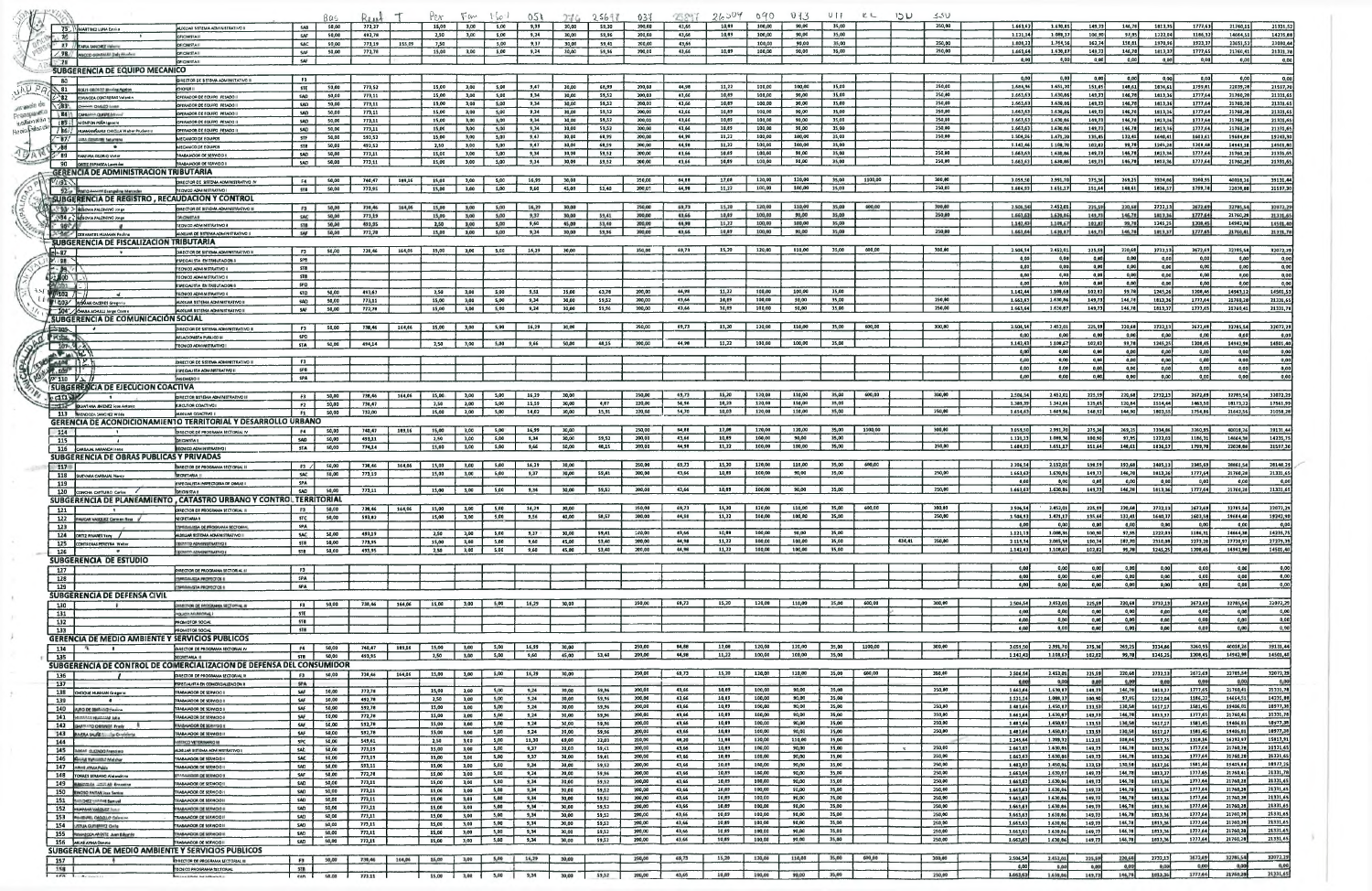|                                     |                                                                                     |                                                                                               |                                                                                                                |                          | Bas                   | Rose             |        | Per                      | $F$ an       | $\Gamma_{\nu} \circ \Gamma$<br>021 |                | 2561            | 031              | 95.99T         | 26004          | 090              | 013              | $U \parallel$  | KL.     | שכו    | 5.5U             |                      |                      |                   |                  |                    |                     |                                              |
|-------------------------------------|-------------------------------------------------------------------------------------|-----------------------------------------------------------------------------------------------|----------------------------------------------------------------------------------------------------------------|--------------------------|-----------------------|------------------|--------|--------------------------|--------------|------------------------------------|----------------|-----------------|------------------|----------------|----------------|------------------|------------------|----------------|---------|--------|------------------|----------------------|----------------------|-------------------|------------------|--------------------|---------------------|----------------------------------------------|
|                                     |                                                                                     | 75"   MARTINEZ LUNA Emilio                                                                    | I CVITARITENA ADMINISTRATIVO II                                                                                | <b>5AB</b>               | 50,00                 | 773,27           |        | 15,00                    | 3,00         | 5,00<br>9,39                       | 30,00          | 59,30           | 200,00           | 43,66          | 10,69          | 100,00           | 90.00            | 35,00          |         |        | 250,00           | 1.663,67             | 1.630,85             | 149,73            | 146,78           | 1813.35            | 1777,63             | 21331,5<br>21760,1                           |
|                                     | 26                                                                                  |                                                                                               | <b>JFICINISTA II</b>                                                                                           | SAF                      | 50,00<br>50.00        | 492,78<br>773.19 | 155.09 | 2,50<br>7,50             | 3,00         | 9,24<br>5,00<br>5,00<br>9,37       | 30,00<br>30,00 | 59,96<br>59.41  | 200,00<br>200,00 | 43,66<br>43,66 | 10,69          | 100,00<br>100,00 | 90.00<br>90.00   | 35,00<br>35.00 |         |        | 250,00           | 1.121,14<br>1.606,22 | 1.089,37<br>1.764,56 | 100,90<br>162,74  | 97,95<br>156,61  | 1222,04<br>1970,96 | 1166,32<br>1923,37  | 14235,6<br>14664,5<br>23080,4<br>23651,5     |
|                                     | $-98/$                                                                              | 27 // RAPIA MAKORZ Valence<br>CCO GOADALES Chely Alcohoo                                      | OFICINISTA II<br><b>OFICN STAI</b>                                                                             | <b>SAC</b><br>SAF        | 50,00                 | 772,78           |        | 15,00                    | 3,00         | 5,00<br>9,24                       | 30,00          | 59,96           | 200,00           | 43,66          | 10,69          | 100,00           | 90,00            | 35,00          |         |        | 250,00           | 1.663,64             | 1.630,87             | 149,73            | 146,78           | 1813,37            | 1777,65             | 21331,7<br>21760,4                           |
|                                     | $-79$                                                                               |                                                                                               | <b>OFIOMSTAIL</b>                                                                                              | SAF                      |                       |                  |        |                          |              |                                    |                |                 |                  |                |                |                  |                  |                |         |        |                  | 0,00                 | 0,00                 | 0,00              | 0,00             | 0,00               | 0,00                | 0,00<br>0,00                                 |
|                                     |                                                                                     | SUBGERENCIA DE EQUIPO MECANICO                                                                |                                                                                                                |                          |                       |                  |        |                          |              |                                    |                |                 |                  |                |                |                  |                  |                |         |        |                  | 0.00                 |                      |                   |                  |                    |                     |                                              |
|                                     | 80                                                                                  |                                                                                               | <b>DIRECTOR DE SISTEMA ADMINISTATIVO III</b><br><b>HOFER</b>                                                   | <b>F3</b><br><b>STE</b>  | 50,00                 | 773,52           |        | 15,00                    | 3,00         | 5,00<br>9,47                       | 30,00          | 68,99           | 200,00           | 44,98          | 11,22          | 100,00           | 100,00           | 35,00          |         |        | 250.00           | 1.684,96             | 0,00<br>1.651,20     | 0,00<br>151,45    | 0,00<br>148,61   | 0.00<br>1836,61    | 0,00<br>1799,61     | 0,00<br>0,00<br>22039,28<br>21597,7          |
|                                     | $\setminus$ 81<br>- 82                                                              | SOLIS OBOSOD Micalas Agaton<br><b>ESPINOZA CONTRERAS Valents</b>                              | PERADOR DE EQUIPO PESADO                                                                                       | <b>SAD</b>               | 50,00                 | 773,11           |        | 15,00                    | 3,00         | 9,34<br>5,00                       | 30,00          | 59,52           | 200,00           | 43,66          | 10,89          | 100,00           | 90,00            | 35,00          |         |        | 250,00           | 1.663,63             | 1.630,86             | 149,73            | 146,78           | 1813,36            | 1777,64             | 21331,6<br>21760,26                          |
| <b>Magic de</b>                     | $-283$                                                                              | <b><i>CORPO STEEL</i></b>                                                                     | <b>JPERADOR DE EQUIPO PESADO</b>                                                                               | <b>SAD</b>               | <b>SO,00</b>          | 773,11           |        | 15,00                    | 3,00         | 5,00<br>9,34                       | 30,00          | 59,52           | 200,00           | 43,66          | 10,89          | 100,00           | 90,00            | 35,00          |         |        | 250.00           | 1.663,63             | 1.630,86             | 149,73            | 146,78           | 1813,36            | 1777,64             | 21331.6<br>21760,28                          |
| <b>DEUGLICE</b><br><b>DAMESORDA</b> | <b>LE415</b>                                                                        | CANALISM QUITE AROUND                                                                         | DRERADOR DE EQUIPO PESADO<br>JPERADOR DE EQUIPO PESADO                                                         | SAD<br>SAD               | <b>SO,00</b><br>50,00 | 773,11<br>773,11 |        | 15,00<br>15,00           | 3,00<br>3,00 | 9,34<br>5,00<br>9,34<br>5,00       | 30,00<br>30,00 | 59,52<br>59,52  | 200,00<br>200,00 | 43,66<br>43,66 | 10,89<br>10,89 | 100,00<br>100,00 | 90,00<br>90,00   | 35,00<br>35,00 |         |        | 250,00<br>250,00 | 1.663,63<br>1.663,63 | 1.630,86<br>1.630,66 | 149, 13<br>149,73 | 146,78<br>146,78 | 1813,36<br>1813,36 | 1777,64<br>1777,64  | 21331,6<br>21760,20<br>21301,65<br>21760,28  |
| <b>NO. POINT OF</b>                 | 1867                                                                                | 185 : MONZON PERA Ignacio<br>HUAMANGAHU CHOLLA Water Prudantio                                | PERADOR DE EQUIPO FESADO                                                                                       | <b>SAD</b>               | 50,00                 | 773,11           |        | 15,00                    | 3,00         | 9,34<br>5,00                       | 30,00          | 59,52           | 200,00           | 43.66          | 10,69          | 100,00           | 90.00            | 35,00          |         |        | 250.00           | 1,663,63             | 1.630,06             | 149,73            | 146,78           | 1813,36            | 1777,64             | 21760,26<br>21331,6                          |
|                                     | $-87.$                                                                              | <b>LEA COMPASS SAWWAY</b>                                                                     | HECANICO DE EQUIPO                                                                                             | <b>STF</b>               | 50,00                 | 593,52           |        | 15,00                    | 3,00         | 5,00<br>9,47                       | 30,00          | 68.99           | 200,00           | 44.99          | 11,22          | 100,00           | 100,00           | 35,00          |         |        | 250.00           | 1.504,96             | 1.471.20             | 135,45            | 132,41           | 1640,41            | 1603,61             | 19684,88<br>19243,3                          |
|                                     | 86 -                                                                                |                                                                                               | MECANICO DE EQUIPDS<br>RABAIADOR DE SERVICIO                                                                   | <b>STB</b><br>5AD        | 50,00<br>50,00        | 493,52<br>773,11 |        | 2,50<br>15,00            | 3,00<br>3,00 | 5,00<br>9,47<br>5,00<br>9,34       | 30,00<br>30.00 | 68.99<br>59,52  | 200,00<br>200,00 | 44,98<br>43,66 | 11,22<br>10.89 | 100.00<br>100.00 | 100,00<br>90,00  | 35,00<br>35,00 |         |        | 250,00           | 1.142.46<br>1.663,63 | 1.108,70<br>1.630,86 | 102.82<br>149,73  | 99,78<br>146,78  | 1245,28<br>1813,36 | 1208.48<br>1777.64  | 14501,6<br>14943,31<br>21331,69<br>21760,21  |
|                                     | ે ‼9<br>90                                                                          | <b>MAILIRA OSORIO Victor</b><br>ORTIZ ESPINOZA Leonida                                        | <b>TRABAJADOR DE SERVICIÓ I</b>                                                                                | 5AD                      | 50,00                 | 773,11           |        | 15,00                    | 3,00         | 9,34<br>5,00                       | 30,00          | 59,52           | 200,00           | 43,66          | 10,89          | 100,00           | 90,00            | 35,00          |         |        | 250,00           | 1.663,63             | 1.630,86             | 149,73            | 146,78           | 1813,36            | 1777,64             | 21760,28<br>21331,6                          |
|                                     |                                                                                     | GERENCIA DE ADMINISTRACION TRIBUTARIA                                                         |                                                                                                                |                          |                       |                  |        |                          |              |                                    |                |                 |                  |                |                |                  |                  |                |         |        |                  |                      |                      |                   |                  |                    |                     |                                              |
|                                     | $V_{1/91}$                                                                          |                                                                                               | <b>IRECTOR OF SISTEMA ADMINISTRATIVO IV</b>                                                                    | <b>F4</b>                | 50,00                 | 740,47           | 169,16 | 15,00                    | 3,00         | s,aa<br>16.99                      | 30.00          |                 | 250,00           | 64.66<br>44,98 | 17,08<br>11,22 | 120,00<br>100,00 | 120,00<br>100,00 | 35,00<br>35,00 | 1100,00 |        | 300,00<br>250,00 | 3.059.50<br>1.684.93 | 2.991,70<br>1.651.17 | 275,36<br>151.64  | 269,25<br>148,61 | 3334.66<br>1836.57 | 3260.95<br>1799.78  | 39131,4<br>40016,26<br>22036.66<br>21597,3   |
|                                     |                                                                                     | 92% Improvement Evengeline Mercedes<br><b>SUBGERENCIA DE REGISTRO , RECAUDACION Y CONTROL</b> | TECNICO ADMINISTRATIVO I                                                                                       | <b>STB</b>               | 50,00                 | 773,95           |        | 15,00                    | 3,00         | 5,00<br>9,60                       | 45,00          | \$3,40          | 200,02           |                |                |                  |                  |                |         |        |                  |                      |                      |                   |                  |                    |                     |                                              |
|                                     |                                                                                     | 93 > SEGOVIA PALOMINO JOFE                                                                    | <b>INTERNATION ANALYSIS IN A SO TO HALL AND IN</b>                                                             | <b>F3</b>                | 50,00                 | 730,46           | 164,06 | 15,00                    | 3,00         | 5,00<br>16,29                      | 30,00          |                 | 250,00           | 69,73          | 15,20          | 120,00           | 110,00           | 35,00          | 600,00  |        | 300,00           | 2.506,548            | 2.452,01             | 225,59            | 220,68           | 2732,13            | 2672,691            | 32705,54<br>32072,2                          |
|                                     |                                                                                     | SS94 c BEGOVA PALOMING JOIN                                                                   | <b>HATIMUM</b>                                                                                                 | SAC                      | 50,00                 | 773,19           |        | 15,00                    | 3,00         | 5,00<br>9,37                       | 30,00          | 59,41           | 300.00           | 43,66          | 10,09          | 100,00           | 90,00            | 35,00          |         |        | 250,00           | 1.663,63             | 1.630,86             | 149,73            | 146,78           | 1813,36            | 1777.64             | 21760.28<br>21331,6                          |
|                                     | $-95o$                                                                              |                                                                                               | <b>TECNICO ADMINISTRATIVO (</b>                                                                                | <b>STB</b>               | 50,00<br>50,00        | 493,95<br>772,78 |        | 2,50<br>15,00            | 3,00<br>3,00 | 9,60<br>5,00<br>9,24<br>5,00       | 45,00<br>30,00 | 53,40<br>59,96  | 200,00<br>200,00 | 44,90<br>43,66 | 11,22<br>10,89 | 100,00<br>100,00 | 100,00<br>90,00  | 35,00<br>35,00 |         |        | 250,00           | 1.142,43<br>1.663,64 | 1,108,67<br>1.630,67 | 102.02<br>149,73  | 99,70<br>146,78  | 1245,25<br>1013,37 | 1208,45<br>1777,65  | 14942.98<br>14501.4<br>21760,41<br>21331.7   |
|                                     |                                                                                     | <b>A DE CERVANTES HUAMAN Pauline</b><br>SUBGERENCIA DE FISCALIZACION TRIBUTARIA               | ALOUIAR DE SISTEMA ADMINISTRATIVO II                                                                           | <b>SAF</b>               |                       |                  |        |                          |              |                                    |                |                 |                  |                |                |                  |                  |                |         |        |                  |                      |                      |                   |                  |                    |                     |                                              |
|                                     | -97                                                                                 |                                                                                               | <b>DIRACTOR DE SISTEMA ADMINISTRATIVO III</b>                                                                  | F3                       | 50,00                 | 738,46           | 164,06 | 15,00                    | 3,00         | 16,29<br>5,00                      | 30,00          |                 | 250,00           | 69,73          | 15,20          | 120,00           | 110,00           | 35,00          | 600,00  |        | 300,00           | 2.506,54             | 2.452.01             | 225.59            | 220,68           | 2732,13            | 2672,69             | 32785,54<br>32072,29                         |
|                                     | $x + 9B$                                                                            |                                                                                               | <b><i>ESPECIALISTA EN TRIBUTACIÓN I</i></b>                                                                    | spe                      |                       |                  |        |                          |              |                                    |                |                 |                  |                |                |                  |                  |                |         |        |                  | 0.00 l               | 0,00 l               | 0.00              | 0,00             | 0.00               | 0,00                | 0,00<br>0,00                                 |
|                                     | $-19.7$                                                                             |                                                                                               | <b>TECNICO ADMINISTRATIVO I</b><br><b>TECNICO ADMINISTRATIVO I</b>                                             | <b>STB</b><br>518        |                       |                  |        |                          |              |                                    |                |                 |                  |                |                |                  |                  |                |         |        |                  | a.aa j<br>0,00       | 0,00<br>0,00         | a,oa F<br>0,00    | a,oa  <br>0,00   | 0,00<br>0,00       | 0,00<br>0,00        | 0,00<br>0,00<br>0,00<br>0,00                 |
|                                     | $\sim 100$<br>1/2n1                                                                 |                                                                                               | <b>ESPECIALISTA EN TRIBUTACION</b>                                                                             | SPD                      |                       |                  |        |                          |              |                                    |                |                 |                  |                |                |                  |                  |                |         |        |                  | 0.00                 | 0,00                 | 0,00              | a,oa             | 0,00               | 0.00                | 0,00<br>0,00                                 |
|                                     | 7102                                                                                |                                                                                               | <b>FECNICO ADMINISTRATIVO II</b>                                                                               | 510                      | 50,00                 | 493,67           |        | 2,50                     | 3,00         | 5,00<br>9,51                       | 35,00          | 63,76           | 200,00           | 44.98          | 11,22          | 100,00           | 100,00           | 35,00          |         |        |                  | 1.142,44             | 1.100,68             | 102,82            | 99,78            | 1245,26            | 1208.46             | 14501,53<br>14943,12                         |
|                                     |                                                                                     | 103 ROMAN CACERES Gragoris                                                                    | <b>NUMBER OF STEMA ADMINISTRATIVO II</b>                                                                       | <b>SAD</b><br>SAF        | 50,00<br>50,00        | 773,11<br>772,78 |        | 15,00<br>15,00           | 3,00<br>3,00 | 5,00<br>9,34<br>5,00<br>9,24       | 30,00<br>30,00 | 59,52<br>59,96  | 200,00<br>200,00 | 43.66<br>43,66 | 10,89<br>10,89 | 100,00<br>100,00 | 90,00<br>90,00   | 35,00<br>35,00 |         |        | 250,00<br>250,00 | 1.663.63<br>1.663,64 | 1.630,86<br>1.630,87 | 149,73<br>149,73  | 146,78<br>146,78 | 1813,36<br>1813,37 | 1777,64<br>1777,65  | 21760,28<br>21331,65<br>21331,76<br>21760,41 |
|                                     |                                                                                     | 504" GHARA ACHULLI lorge Cosme<br><b>SUBGERENCIA DE COMUNICACIÓN SOCIAL</b>                   | II DVITAR TEMPLA ADMINISTRATIVE II                                                                             |                          |                       |                  |        |                          |              |                                    |                |                 |                  |                |                |                  |                  |                |         |        |                  |                      |                      |                   |                  |                    |                     |                                              |
|                                     | $\frac{1}{2}$                                                                       |                                                                                               | DIRECTOR DE SISTEMA ADMINISTRATIVO III                                                                         | <b>F3</b>                | 50,00                 | 738,46           | 164,06 | 15,00                    | 3,00         | 5,00<br>16,29                      | 30,00          |                 | 250,00           | 69,73          | 15,20          | 120,00           | 110,00           | 35,00          | 600,00  |        | 300,00           | 2.506,54             | 2.452.01             | 225,59            | 220,68           | 2732,13            | 2672,69             | 32072,2<br>32765,54                          |
|                                     | "King                                                                               |                                                                                               | <b>HI DO LIBUR ATENDEDAD</b>                                                                                   | <b>SPD</b>               |                       |                  |        |                          |              |                                    |                |                 |                  |                |                |                  |                  | 35,00          |         |        |                  | 0,00<br>1.142,43     | 0,00                 | 0,00              | 0,00             | 0,00               | a,ca j              | 0.00<br>0,00                                 |
|                                     | $107 - 4 - 3$<br><b>ALANDI</b>                                                      |                                                                                               | <b>TECN CO ADMINISTRATIVO</b>                                                                                  | <b>STA</b>               | 50,00                 | 494,14           |        | 2,50                     | 3,00         | 9,66<br>5,00                       | 50,00          | 48,15           | 200,00           | 44,98          | 11,22          | 100,00           | 100,00           |                |         |        |                  | 0.00                 | 1.108,57<br>0,00     | 102,02<br>0,00    | 99,78<br>0,00    | 1245,25<br>ا ەم ە  | 1206,45<br>0,00     | 14501,40<br>14942,98<br>0,00<br>0,00         |
|                                     | $-408$ $12$                                                                         |                                                                                               | JOIRECTOR DE SISTEMA ADMIMISTRATIVO III                                                                        | <b>F3</b>                |                       |                  |        |                          |              |                                    |                |                 |                  |                |                |                  |                  |                |         |        |                  | 0,00                 | 0,00                 | 0,00              | 0,00             | 0,00               | 0,00                | 0,00<br>0,00                                 |
|                                     | $\frac{1}{2}$ $\frac{1}{2}$ $\frac{1}{2}$ $\frac{1}{2}$ $\frac{1}{2}$ $\frac{1}{2}$ |                                                                                               | ESPECIALISTA ADMINISTRATIVO II                                                                                 | SPB                      |                       |                  |        |                          |              |                                    |                |                 |                  |                |                |                  |                  |                |         |        |                  | 0.00                 | a,cal                | 0,00              | 0,00             | 0,00               | o,co l              | 0,00<br>0,00                                 |
|                                     | $N^*$ 110 $V \perp$                                                                 |                                                                                               | <b>INGEMERO II</b>                                                                                             | <b>SPA</b>               |                       |                  |        |                          |              |                                    |                |                 |                  |                |                |                  |                  |                |         |        |                  | 0.00                 | o,co                 | 0,00              | 0,00             | 0.00               | o,aa <mark>i</mark> | 0,00<br>0,00                                 |
|                                     | $c \tan x$                                                                          | <b>SUBGERENCIA DE EJECUCION COACTIVA</b>                                                      | <b>IRECTOR SISTEMA ADMINISTRATIVO II</b>                                                                       | F3                       | 50,00                 | 738,46           | 164,06 | 15,00                    | 3,00         | 5,00<br>16,29                      | 30,00          |                 | 250,00           | 69,73          | 15,20          | 120,00           | 110,00           | 35,00          | 600,00  |        | 300,00           | 2.506,54             | 2.452,01             | 225,59            | 220,68           | 2732,13            | 2672,69             | 32072,29<br>32785.54                         |
|                                     |                                                                                     | <b>CLIP CLINTANA SMENEZ</b> loss Antonio                                                      | <b>LECUTOR COACTIVO I</b>                                                                                      | <b>F2</b>                | 50,00                 | 736,47           |        | 2,50                     | 3,00         | 5,00<br>15,59                      | 30,00          | 4,67            | 220,00           | 56,96          | 10,23          | 120,00           | 110.00           | 35,00          |         |        |                  | 1,389.39             | 1.342,66             | 125,45            | 120,84           | 1514,44            | 1463,50             | 17561,99<br>16173.22                         |
|                                     |                                                                                     | 113 MENDOZA SANC HZ WILde                                                                     | MANUAR COACTIVO I                                                                                              | <b>F2</b>                | 50,00                 | 732,00           |        | 15,00                    | 3,00         | 5,00<br>14,02                      | 30,00          | 15,91           | 220,00           | 54,70          | 10,03          | 120,00           | 110,00           | 35,00          |         |        | 250,00           | 1.654.63             | 1.609,96             | 148,92            | 144,90           | 1803,55            | 1754,86             | 21642,56<br>21058,26                         |
|                                     |                                                                                     |                                                                                               | <b>GERENCIA DE ACONDICIONAMIENTO TERRITORIAL Y DESARROLLO URBANO</b>                                           | F4                       | 50,00                 | 740,47           | 189,16 | 15,00                    | 3,00         | 5,00<br>16,99                      | 30,00          |                 | 250,00           | 84,88          | 17,06          | 120,00           | 120,00           | 35,00          | 1100,00 |        | 300,00           | 3.059,50             | 2.991,70             | 275.36            | 269,25           | 3334,66            | 3260.95             | 40018.26<br>39131,44                         |
|                                     | 114<br>115                                                                          |                                                                                               | DIRECTOR DE PROGRAMA SECTORIAL IV<br><b>OHCHISTA II</b>                                                        | <b>SAD</b>               | 50,00                 | 493,11           |        | 2,50                     | 3,00         | 5,00<br>9,34                       | 30,00          | 59,52           | 200,00           | 43,66          | 10.69          | 100,00           | 90,00            | 35,00          |         |        |                  | 1.121.13             | 1.088.36             | 100.90            | 97,95            | 1222.03            | 1166,31             | 14664,38<br>14235,75                         |
|                                     |                                                                                     | 116 CARBAIAL MIRANDA Irana                                                                    | <b>IECN CO ADMINISTRATIVO</b>                                                                                  | <b>STA</b>               | 50,00                 | 774,14           |        | 15,00                    | 3,00         | 5,00<br>9,66                       | \$0,00         | 48,15           | 200,00           | 44,98          | 11,22          | 100,00           | 100,00           | 35,00          |         |        | 250,00           | 1,684,9              | 1,651.17             | 151,64            | 148,61           | 1836,57            | 1799,78             | 21597,30<br>22036.66                         |
|                                     |                                                                                     | SUBGERENCIA DE OBRAS PUBLICAS Y PRIVADAS                                                      |                                                                                                                |                          |                       |                  |        |                          |              |                                    | 30.00          |                 | 250,00           | 69.73          | 15,20          | 120,00           | 110,00           | 35,00          | 600,00  |        |                  | 2.206.54             | 2.152,01             | 198,59            | 193.68           | 2405.13            | 2345.69             | 26861.54<br>26148,29                         |
|                                     | 117<br>118                                                                          | <b>SUEVARA CARBAIAL Navey</b>                                                                 | <b>INSERTOR DE PROGRAMA SECTORIAL (I</b><br>SECRETARIA II                                                      | - F3 /<br><b>SAC</b>     | 50,00<br>50,00        | 738,46<br>773,19 | 164,06 | 15,00<br>15,00           | 3,00<br>3,00 | 5,00<br>16,29<br>5,00<br>9,37      | 30,00          | 59,41           | 200,00           | 43,66          | 10,89          | 100,00           | 90,00            | 35,00          |         |        | 250,00           | 1.663,63             | 1,630,86             | 149.73            | 146,78           | 1813,36            | 1777,64             | 21331,69<br>21760,28                         |
|                                     | 119                                                                                 |                                                                                               | ESPECIALISTA INSPECTORIA DE OBRAS                                                                              | <b>SPA</b>               |                       |                  |        |                          |              |                                    |                |                 |                  |                |                |                  |                  |                |         |        |                  | a.a                  | 0,00                 | 0.001             | 0,00             | 0,00               | 0,00                | 0,00<br>0.00                                 |
|                                     | 120                                                                                 | CONCHA CATURO Carlos                                                                          | <b>OHON STAH</b>                                                                                               | <b>SAD</b>               | 50,00                 | 773,11           |        | 15.00                    | 3.00         | 9,34<br>5,00                       | 30,00          | 59,52           | 200,00           | 43,66          | 10,89          | 100,00           | 90,00            | 35,00          |         |        | 250,00           | 1.663,63             | 1.630.66             | 149,73            | 146,78           | 1813,36            | 1777,64             | 21331,69<br>21760,28                         |
|                                     |                                                                                     |                                                                                               | SUBGERENCIA DE PLANEAMIENTO, CATASTRO URBANO Y CONTROL TERRITORIAL                                             | F3                       | 50,00                 |                  |        | 730,46 164,06 15,00 3,00 |              | 5,00<br>16,29                      | 30,00          |                 | 250,00           | 69,73          | 15,20          | 120,00           | 110,00           | 35,00          | 600,00  |        | 300,00           | 2.506,54             | 2.452,01             | 225,59            | 220,68           | 2732,13            | 2672,69             | 32072,29<br>32785,54                         |
|                                     |                                                                                     | 122 PAUCAR VASQUEZ Carman Rose                                                                | <b>ECRETARIA II</b>                                                                                            | <b>STC</b>               | 50,00                 | 593,82           |        | 15,00                    | 3,00         | 5,00<br>9,56                       | 40,00          | 58,57           | 200,00           | 44,98          | 11,22          | 100,00           | 100,00           | 35,00          |         |        | 250,00           | 1.504,93             | 1.471,17             | 135,44            | 132,41           | 1640,37            | 1603,58             | 19684,48<br>19242,90                         |
|                                     | 123                                                                                 |                                                                                               | <b>SPEIDLALISSA DE PROGRAMA SECTORIA</b>                                                                       | <b>SPA</b>               |                       |                  |        |                          |              |                                    |                |                 |                  |                |                |                  |                  |                |         |        |                  | 0.00                 | 0,00                 | 0,00              | 0.00             |                    |                     | 0,00<br>0,00                                 |
|                                     |                                                                                     | 124 ORTIZ PINARES Yany                                                                        | LOGILIAR ISTEMA ADMINISTRATIVO I                                                                               |                          |                       |                  |        |                          |              |                                    |                |                 |                  |                |                |                  |                  |                |         |        |                  |                      |                      | 100,90<br>190,74  |                  | 0,00               | 0,00                |                                              |
|                                     | 126                                                                                 | 125 CONTRERAS PEREYRA Welter                                                                  |                                                                                                                | <b>SAC</b>               | 50,00                 | 493,19           |        | 2,50                     | 3,00         | 5,00<br>9,37                       | 30,00          | 59,41           | 130,00           | 43,66          | 10,89          | 100,00           | 90,00            | 35,00          |         |        |                  | 1.121,13             | 1.086, 36            |                   | 97,95            | 1222,03            | 1166,31             | 14235,75<br>14664,38                         |
|                                     |                                                                                     |                                                                                               | <b>ECMINISTRATIVO I</b>                                                                                        | <b>STB</b>               | 50,00<br><b>SO,00</b> | 773,95<br>493,95 |        | 15,00<br>2,50            | 3,00<br>3,00 | 5,00<br>9,60<br>5,00<br>9,60       | 45,00<br>45,00 | 53,40<br>53,40  | 200,00<br>200,00 | 44,98<br>44,98 | 11,22<br>11,22 | 100,00<br>100,00 | 100,00<br>100,00 | 35,00<br>35,00 |         | 434,41 | 250,00           | 2.111,34<br>1.142,43 | 2.085,58<br>1.108,67 | 102,07            | 187,70<br>99,78  | 2310,08<br>1245,25 | 2273.28<br>1208,45  | 27279,39<br>27720,97<br>14501,40<br>14942,98 |
|                                     | 127                                                                                 | SUBGERENCIA DE ESTUDIO                                                                        | ECHIER ADMINISTRATIVO                                                                                          | <b>STB</b>               |                       |                  |        |                          |              |                                    |                |                 |                  |                |                |                  |                  |                |         |        |                  |                      |                      |                   |                  |                    |                     |                                              |
|                                     |                                                                                     |                                                                                               | HRECTOR DE PROGRAMA SECTORIAL (I)                                                                              | F3                       |                       |                  |        |                          |              |                                    |                |                 |                  |                |                |                  |                  |                |         |        |                  | 0,00                 | 0,00                 | 0,00              | 0,00             | 0,00               | 0,00                | 0,00<br>0,00                                 |
|                                     | 128                                                                                 |                                                                                               | <b>IPEGALISA PROYECTOS II</b>                                                                                  | <b>SPA</b>               |                       |                  |        |                          |              |                                    |                |                 |                  |                |                |                  |                  |                |         |        |                  | 0,00<br>0,00         | 0,00<br>0,00         | 0,00<br>0,00      | a,ca  <br>0,00   | 0,00<br>0,00       | a,ao }<br>0,00      | 0,00<br>0,00<br>0,00<br>0,00                 |
|                                     | 129                                                                                 | <b>SUBGERENCIA DE DEFENSA CIVIL</b>                                                           | <b>SPECIALISTA PROVECTOS II</b>                                                                                | <b>SPA</b>               |                       |                  |        |                          |              |                                    |                |                 |                  |                |                |                  |                  |                |         |        |                  |                      |                      |                   |                  |                    |                     |                                              |
|                                     | 130                                                                                 |                                                                                               | <b>WINSTOR DE FROGRAMA SECTORIAL IN</b>                                                                        | F3 1                     | 50,00                 | 738,46           | 164,06 | 15,00                    | 3,00         | 16,29<br>5,00                      | 30,00          |                 | 250,00           | 69,73          | 15,20          | 120,00           | 110,00           | 35,00          | 600,00  |        | 300,00           | 2.506,54             | 2.452,01             | 225,59            | 220,68           | 2732,13            | 2672,69             | 32785,54<br>32072,29                         |
|                                     | 131                                                                                 |                                                                                               | FOLICIA MUSECINAL                                                                                              | <b>STE</b>               |                       |                  |        |                          |              |                                    |                |                 |                  |                |                |                  |                  |                |         |        |                  | 0,00<br>0,00         | 0,00<br>0,00         | 0,00<br>0,00      | 0,00<br>0,00     | 0,00<br>0,00       | 0,00<br>0,00        | 0,00<br>0,00<br>0,00<br>0,00                 |
|                                     | 132<br>133                                                                          |                                                                                               | PROMOTOR SOOAL<br><b>PROMOTOR SOCIA</b>                                                                        | <b>STB</b><br><b>STB</b> |                       |                  |        |                          |              |                                    |                |                 |                  |                |                |                  |                  |                |         |        |                  | 0,00                 | 0,00                 | 0,00              | 0,00             | o.oo h             | 0,00 l              | 0,00<br>o,oa                                 |
|                                     |                                                                                     | <b>GERENCIA DE MEDIO AMBIENTE Y SERVICIOS PUBLICOS</b>                                        |                                                                                                                |                          |                       |                  |        |                          |              |                                    |                |                 |                  |                |                |                  |                  |                |         |        |                  |                      |                      |                   |                  |                    |                     |                                              |
|                                     | 134                                                                                 | $\mathbf{u}$<br>$\cdot$                                                                       | DIRECTOR DE PROGRAMA SECTORIAL IV                                                                              | <b>F4</b>                | 50,00                 | 740,47           | 189,16 | 15,00                    | 3,00         | 5,00<br>16,99                      | 30,00          |                 | 250,00           | 84,68          | 17,08          | 120,00           | 120,00           | 35,00          | 1100,00 |        | 300,00           | 3.059,50             | 2.991,70             | 275,36            | 269,25           | 3334,86            | 3260,95             | 40016,26<br>39131,44                         |
|                                     | 135                                                                                 |                                                                                               | SECRETARIA II                                                                                                  | <b>STB</b>               | 50,00                 | 493,95           |        | 2,50                     | 3,00         | 9,60<br>5,00                       | 45,00          | 53,40           | 200,00           | 44,98          | 11,22          | 100,00           | 100,00           | 35,00          |         |        |                  | 1.142,43             | 1.108,67             | 102,82            | 99,78            | 1245,25            | 1206,45             | 14942,98<br>14501,40                         |
|                                     | 136                                                                                 |                                                                                               | SUBGERENCIA DE CONTROL DE COMERCIALIZACION DE DEFENSA DEL CONSUMIDOR<br><b>IRECTOR DE PROGRAMA SECTORIAL I</b> | F3                       | <b>50,00</b>          | 738,46           | 164,06 | 15,00                    | 3,00         | 5,00<br>16,29                      | 30,00          |                 | 250,00           | 69,73          | 15,20          | 120,00           | 110,00           | 35,00          | 600,00  |        | 300,00           | 2.506,54             | 2.452,01             | 225,59            | 220,68           | 2732,13            | 2672,69             | 32785,54<br>32072,29                         |
|                                     | 137                                                                                 |                                                                                               | ESPECIAUSTA EN COMERCIALIZACIÓN N                                                                              | <b>SPA</b>               |                       |                  |        |                          |              |                                    |                |                 |                  |                |                |                  |                  |                |         |        |                  | 0.00                 | 0.01                 | 0.00              | 0.001            | 0.00               | 0.00                | 0.00<br>0,00                                 |
|                                     |                                                                                     | 138 CHOQUE HUMMAN Gregoria                                                                    | <b>RABAJADOR DE SERVICIO II</b>                                                                                | SAF                      | 50,00                 | 772.78           |        | 15,00                    | 3,00         | 5,00<br>9,24                       | 30,00          | 59,96           | 200,00           | 43,66          | 10,89          | 100,00<br>100,00 | 90,00            | 35,00          |         |        | 250,00           | 1.663,64             | 1.630,87             | 149,73            | 146,78<br>97.95  | 1813,37            | 1777,65             | 21331,78<br>21760.41<br>14664,51             |
|                                     | 139                                                                                 | $\blacksquare$<br>140 AMO DE MARINO Facilita                                                  | RABAIADOR DE SERVICIO II<br>RABAJADOR DE SERVICIO I                                                            | <b>SAF</b><br>SAF        | 50,00<br>50,00        | 492.76<br>592.78 |        | 2,50<br>15,00            | 3,00<br>3,00 | 5,00<br>9,24<br>5,00<br>9,24       | 30,00<br>30,00 | \$9,96<br>59,96 | 200,00<br>200,00 | 43,66<br>43,66 | 10,89<br>10,89 | 100,00           | 90,00<br>90,00   | 35,00<br>35,00 |         |        | 250,00           | 1.121,14<br>1.483.64 | 1.088,3<br>1.450,87  | 100,90<br>133,53  | 130,58           | 1222,04<br>1617,17 | 1166,32<br>1581,45  | 14235,88<br>18977,36<br>19406.01             |
|                                     | 141                                                                                 | <b>AIM BALLAMIN (ASSASS)</b>                                                                  | RABAJADOR DE SERVICIO I                                                                                        | <b>SAF</b>               | 50,00                 | 772,78           |        | 15,00                    | 3,00         | 5,00<br>9,24                       | 30,00          | 59,96           | 200,00           | 43,66          | 10,89          | 100.00           | 90,00            | 35,00          |         |        | 250,00           | 1.663,64             | 1.630,87             | 149,73            | 146.78           | 1813.37            | 1777.65             | 21331,78<br>21760.41                         |
|                                     |                                                                                     | 142 GARRISTO CHRINGS Freds                                                                    | <b>UGAIADOR DE SERIFICO I</b>                                                                                  | SAF                      | <b>S0,00</b>          | 592,78           |        | 15,00                    | 3,00         | 5,00<br>9,24                       | 30,00          | 59,96           | 200,00           | 43,66          | 10,89          | 100.00           | 90,00            | 35,00          |         |        | 250,00           | 1.483,64             | 1.450,87             | 133,53            | 130,58           | 1617.17            | 1581,45             | 18977,38<br>19406.01                         |
|                                     |                                                                                     | 143 <b>PIVERA SAURE State Conditions</b>                                                      | RABAIADOR DE SERVICIO II                                                                                       | SAF                      | <b>SO,00</b><br>50,00 | 592,78<br>549,61 |        | 15,00<br>2,50            | 3,00<br>3,00 | 5,00<br>9,24<br>5,00<br>11,30      | 30,00<br>69,00 | 59,96<br>32,03  | 200,00<br>210,00 | 43,66<br>48,20 | 10,89<br>11,66 | 100,00<br>120,00 | 90,00<br>110,00  | 35,00<br>35,00 |         |        | 250,00           | 1.483,64<br>1.245,64 | 1.450,87<br>1.209,32 | 133,53<br>112.11  | 130,58<br>108,64 | 1617,17<br>1357.75 | 1581.45<br>1316.16  | 19406.01<br>18977,38<br>15817,91<br>16292,97 |
|                                     | 144                                                                                 | 145 BORAT GUINDO Francisco                                                                    | ASENÇO VETERINARIO IO<br><b>UMILIAR SISTEMA ADMINISTRATIVO I</b>                                               | <b>SPC</b><br>SAL        | 50,00                 | 773,19           |        | 15,00                    | 3,00         | 5,00<br>9,37                       | 30,00          | 59,41           | 200,00           | 43,66          | 10,89          | 100,00           | 90,00            | 35,00          |         | $\sim$ | 250,00           | 1.663,63             | 1.630,66             | 149,73            | 146,78           | 1613,36            | 1777, C4            | 21931,65<br>21760,28                         |
|                                     |                                                                                     | 146 CANAR YURANDUZ Melshor                                                                    | <b>I DOWRS OF SERVICH</b>                                                                                      | <b>SAC</b>               | 50,00                 | 773,19           |        | 15,00                    | 3,00         | 5,00<br>9,37                       | 30,00          | 59,41           | 200,00           | 43,66          | 10.69          | 100,00           | 90,00            | 35,00          |         |        | 250,00           | 1.663.63             | 1.630,86             | 149.73            | 146,78           | 1813,36            | 1777,64             | 21331,65<br>21760,28                         |
|                                     |                                                                                     | 147 AMAS ATMA Publo                                                                           | II DOMRS 3G RODALASA                                                                                           | <b>SAD</b>               | 50,00                 | 593,11           |        | 15,00                    | 3,00         | 5,00<br>9,34<br>5,00<br>9,24       | 30,00<br>30,00 | 59,52<br>59,96  | 200,00<br>200,00 | 43,66<br>43,66 | 10,89<br>10,89 | 100,00<br>100,00 | 90,00<br>90,00   | 35,00<br>35,00 |         |        | 250,00<br>250,00 | 1.463,63<br>1.663,64 | 1.450,86<br>1.630,87 | 133,53<br>149.73  | 130,58<br>146,78 | 1617,16<br>1813,37 | 1581,44<br>1777,65  | 18977,25<br>19405,88<br>21331,76<br>21760,41 |
|                                     |                                                                                     | 148 TORRES SERRANO Alelendrine                                                                | <b>INVALIDADE DE BERMOO I</b><br>I DOWASE 3G ROOMA&AR                                                          | <b>SAF</b><br>SAD        | 50,00<br><b>SO,00</b> | 772,78<br>773,11 |        | 15,00<br>15,00           | 3,00<br>3,00 | 5,00<br>9,34                       | 30,00          | 59,52           | 200,00           | 43,66          | 10,89          | 100,00           | 90,00            | 35,00          |         |        | 250,00           | 1.663,63             | 1.630,86             | 149, 13           | 146,78           | 1813,36            | 1777,64             | 21331,65<br>21760,28                         |
|                                     |                                                                                     | 149 BANCHA ACULAB Ernestine<br><b>150 ENGISO FAITAN JOSE Sarriors</b>                         | <b>FRABAJADOR DE SERVICIO H</b>                                                                                | SAD                      | 50,00                 | 773,11           |        | 15,00                    | 3,00         | 5,00<br>9,34                       | 30,00          | 59,52           | 200,00           | 43,66          | 10,69          | 100,00           | 90,00            | 35,00          |         |        | 250,00           | 1,663,63             | 1.630,86             | 149,73            | 146,78           | 1013,36            | 1777,64             | 21331,65<br>21760,28                         |
|                                     |                                                                                     | 151 BANDEZ UNRIGHT Samuel                                                                     | <b>II CONSIE 30 RODALABAR</b>                                                                                  | <b>SAD</b>               | 50,00                 | 773,11           |        | 15,00                    | 3,00         | 5,00<br>9,34                       | 30,00          | \$9,52          | 200,00           | 43,66          | 10,69          | 100,00           | 90,00            | 35,00          |         |        | 250,00           | 1.663,63             | 1.630,86             | 149,73            | 146,78           | 1813,36            | 1777,64<br>1777,64  | 21331,65<br>21760.28<br>21331,65<br>21760,28 |
|                                     |                                                                                     | 152 <b>FRAMAN VALGUEZ</b> Tomo                                                                | <b>INABAJADOR DE SERVICIO II</b>                                                                               | SAD<br><b>SAD</b>        | 50,00<br>50,00        | 773,11<br>773,11 |        | 15,00<br>15,00           | 3,00<br>3,00 | 5,00<br>9,34<br>5,00<br>9,34       | 30,00<br>30,00 | 59,52<br>\$9,52 | 200,00<br>200,00 | 43,66<br>43,66 | 10,69<br>10,89 | 100,00<br>100,00 | 90,00<br>90,00   | 35,00<br>35,00 |         |        | 250,00<br>250,00 | 1.663,63<br>1.663,63 | 1.630,86<br>1.630,66 | 149,73<br>149,73  | 146,78<br>146,78 | 1813,36<br>1813,36 | 1777,64             | 21331,65<br>21760,28                         |
|                                     |                                                                                     | <b>153 PERMIL ORIGINA CHARLES</b><br>154 STILLA GUTIERINZ Cirile                              | <b>ILOD MASS 3G RODALASTER</b><br><b>U DOWA3E 3D RODALASA</b>                                                  | <b>SAD</b>               | 50,00                 | 773,11           |        | 15,00                    | 3,00         | 5,00<br>9,34                       | 30,00          | \$9,52          | 200,00           | 43,66          | 10,89          | 100,00           | 90,00            | 35,00          |         |        | 250,00           | 1.663,63             | 1.630,66             | 149,73            | 146,78           | 1813,36            | 1777,64             | 21331,65<br>21760,28                         |
|                                     |                                                                                     | 155 RIMARCOA AROSTE Juan Eduardo                                                              | <b>II CONNIN 30 RODALABAR</b>                                                                                  | <b>SAD</b>               | 50,00                 | 773,11           |        | 15,00                    | 3,00         | 5,00<br>9,34                       | 30,00          | 59,52           | 200,00           | 43,66          | 10,89          | 100,00           | 90,00            | 35,00          |         |        | 250,00           | 1.663,63             | 1.630,86             | 149,73            | 146,78           | 1013,36            | 1777,64             | 21331,65<br>21760,28                         |
|                                     |                                                                                     | 156 ARIAS AYMA Donato                                                                         | I DOMNING 30 RODALASAR                                                                                         | <b>SAD</b>               | 50,00                 | 773,11           |        | 15,00                    | 3,00         | 5,00<br>9,34                       | 30,00          | 59,52           | 200,00           | 43,66          | 10,89          | 100,00           | 90,00            | 35,00          |         |        | 250,00           | 1.663,63             | 1.630,66             | 149,73            | 146,78           | 1813,36            | 1777,64             | 21331,65<br>21760,28                         |
|                                     |                                                                                     | SUBGERENCIA DE MEDIO AMBIENTE Y SERVICIOS PUBLICOS                                            | <b>EXRECT OR DE PROGRAMA SECTORIAL II</b>                                                                      | <b>F3</b>                | 50,00                 | 730,46           | 164,06 | 15,00                    | 3,00         | $5,00$  <br>16,29                  | 30,00          |                 | 250,00           | 69,73          | 15,20          | 120,00           | 110,00           | 35,00          | 600,00  |        | 300,00           | 2.506,54             | 2.452,01             | 225,59            | 220,68           | 2732,13            | 2672,69             | 32072,29<br>32765,54                         |
|                                     | 157<br>158<br><b>CARD Landerson</b>                                                 |                                                                                               | TECN CO PROGRAMA SECTORIAL<br><b>BREAKLINGHOUSE PURSUARES</b>                                                  | 5TB                      | <b>SAN 50.00</b>      | 773.11           |        | 15,00                    | 3,00         | $5,00$  <br>9,34                   | 30,00          | 59,52           | 200,00           | 43,66          | 10,89          | 100,00           | 90,00            | 35,00          |         |        | 250,00           | 0,00<br>1.663,63     | 0,00<br>1.630,86     | 0,00<br>149,73    | 0,00<br>146,78   | 0.0<br>1013,36     | 0,00<br>1777,64     | 0,00<br>0,00<br>21331,65<br>21760,28         |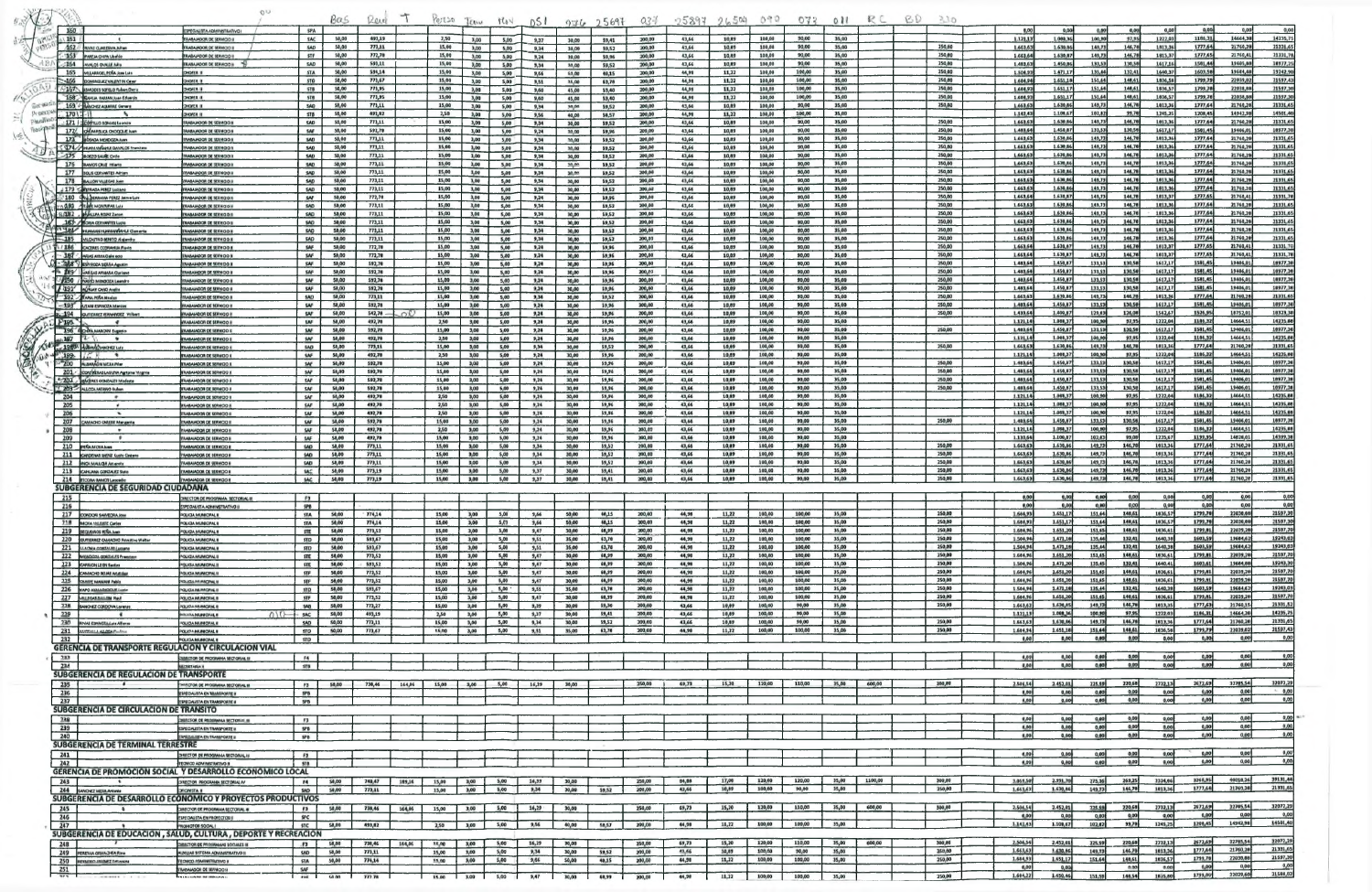| $\sqrt{2}$     |             |                                                                        | O <sub>D</sub>                                                                                   |                          | Bas            | Reid             |        | 10:120               | LEAN         | rov          | DSI          |                 | 97625697         | $03 +$             |                | 25897, 26504   | 040              |                  | 0.15011        | R C     | <b>RD</b> | $-10$            |                       |                       |                    |                   |                    |                     |                       |                         |
|----------------|-------------|------------------------------------------------------------------------|--------------------------------------------------------------------------------------------------|--------------------------|----------------|------------------|--------|----------------------|--------------|--------------|--------------|-----------------|------------------|--------------------|----------------|----------------|------------------|------------------|----------------|---------|-----------|------------------|-----------------------|-----------------------|--------------------|-------------------|--------------------|---------------------|-----------------------|-------------------------|
|                | 160         |                                                                        | <b>I DVITA ADMINISTRATIVO I</b>                                                                  | <b>SPA</b>               |                |                  |        |                      |              |              |              |                 |                  |                    |                |                |                  |                  |                |         |           |                  | 0.00                  | 0.00                  | 0.001              | 0,00              | 0,00               | 0,00                | 0,00                  | 0,0                     |
|                | 63.151      | 462 // INVATIOUAREMA JUNIOR                                            | <b><i>RABAJADOR DE SERVICIO II</i></b><br><b>BABAJADOR DE SERVICIO</b>                           | SAC<br>SAD               | 50,00<br>50,00 | 493,19<br>773,11 |        | 2,50<br>15,00        | 3,00<br>3,00 | 5,00         | 9,37         | 30,00           | 59,41            | 200,00<br>200,00   | 43,66<br>43,66 | 10,89<br>10,89 | 100,00<br>100,00 | 90,00<br>90,00   | 35,00<br>35,00 |         |           | 250,00           | 1,121,137<br>1,663,63 | 1.088,36<br>1.630,66  | 100,900<br>149,73  | 97,95<br>146,70   | 1222,03<br>1813,36 | 1186,31<br>1777.64  | 14664,38<br>21760,20  | 14235,7<br>21331.6      |
|                |             | - 163 PAREM ORPH Ubardo                                                | <b>RABAJADOR DE SERVICIO I</b>                                                                   | <b>STF</b>               | 50,00          | 772,70           |        | 15,00                | 3,00         | 5,00<br>5,00 | 9,34<br>9,24 | 30,00<br>30,00  | \$9,52<br>59,96  | 200,00             | 43,66          | 10.89          | 100.00           | 90,00            | 35,00          |         |           | 250,00           | 1,663,64              | 1.630,87              | 149,73             | 146,70            | 1813,37            | 1777.654            | 21760,41              | 21331,7                 |
|                |             | 164 AVALOS OVALE NHS                                                   | <b>ILABAJADOR DE SERVICIO III</b>                                                                | SAD                      | 50,00<br>50,00 | 593,11<br>594,14 |        | 15,00<br>15,00       | 3,00         | 5,00         | 9,34         | 30.00           | 59,52            | 200,00             | 43,66          | 10,89          | 100,00<br>100,00 | 99,00<br>100,00  | 35,00<br>35,00 |         |           | 250,00<br>250,00 | 1.483,63              | 1.450,86<br>1.471,17  | 133,53<br>135,44   | 130,58<br>132,41  | 1617,16<br>1640,37 | 1501,448<br>1603,58 | 19405,88<br>19684,48  | 18977,2<br>19242,9      |
|                |             | 165 WILLARDCLPERA JOIN LAN<br>-166 COMMULEZ VALENTIN CHR               | <b>HOPER II</b><br>HOFER II                                                                      | STA<br><b>STD</b>        | 50,00          | 773,67           |        | 15,00                | 3,00<br>3,00 | 5,00<br>5,00 | 9,66<br>9,51 | \$0.00<br>35,00 | 40,15<br>63,78   | 200,00<br>200,00   | 44,99<br>44,96 | 11,22<br>11,22 | 100,00           | 100,00           | 35,00          |         |           | 250,00           | 1.504,93<br>1.604,94  | 1.651,180             | 151,64             | 148,61            | 1836,58            | 1799,79             | 22039.0               | 21597,4                 |
|                |             | -167 MMODES SOFELD Rubert Darro                                        | <b>HOFER II</b>                                                                                  | STB                      | 50,00          | 773,95           |        | 15,00                | 3,00         | 5,00         | 9,60         | 45,00           | \$3,40           | 200.00             | 44,95          | 11,22          | 100,00           | 100,00           | 35,00          |         |           | 250,00           | 1,684,93              | 1.651.17              | 151,64             | 140,61            | 1636,57            | 1799.70             | 22038,68              | 21597,30                |
| Get 1949       |             | 168 RAVEM FAREAR JUAN Eduardo<br>169 - BANDEZ AGAINE General           | <b>II A39OFC</b><br><b>HOFER II</b>                                                              | 578<br><b>SAD</b>        | 50,00<br>50,00 | 773,95<br>773,11 |        | 15,00<br>15,00       | 3,00<br>3,00 | 5,00<br>5,00 | 9,60<br>9,34 | 45,00<br>30,00  | \$3,40<br>\$9,52 | 200.00<br>200,00   | 44,98<br>43,66 | 11,22<br>10,89 | 100,00<br>100,00 | 100,00<br>90,00  | 35,00<br>35,00 |         |           | 250,00<br>250,00 | 1.684.93<br>1.663.63  | 1.651.17<br>1.630,66  | 151,44<br>149,73   | 148,61<br>146,78  | 1036,57<br>1013,36 | 1799.70<br>1777,64  | 22038,86<br>21760,20  | 21597,30<br>21331,69    |
| <b>DI DELI</b> | 170         |                                                                        | <b>HOPER II</b>                                                                                  | STB                      | 50,00          | 493,82           |        | 2,50                 | 3,00         | 5,00         | 9,56         | 40,00           | 58,57            | 300.00             | 44,98          | 11,22          | 100,00           | 100,00           | 35,00          |         |           |                  | 1.147, 43             | 1.100,67              | 107.02<br>149,73   | 99,78             | 1245,25            | 1208,45             | 14942.98              | 14501.4                 |
|                |             | : 171   GOVINLO ROMAN Leondo<br>172/ Of UMPIRICA O IOQUE AND           | RABAJADOR DE SERVIGO H<br><b>I CONRIN 30 ROOMABAR</b>                                            | <b>SAD</b><br><b>SAF</b> | 50,00<br>58,00 | 773,11<br>592,78 |        | 15,00<br>15,00       | 3,00<br>3,00 | 5,00<br>5,00 | 9,34<br>9,24 | 30,00<br>30.00  | \$9,52<br>\$9,96 | 200,00<br>200,00   | 43,66<br>43,66 | 10,89<br>10,89 | 100,00<br>100,00 | 90,00<br>90,00   | 35,00<br>35,00 |         |           | 250,00<br>250,00 | 1.663.63<br>1.463,64  | 1.630, 86<br>1,450,87 | 133,53             | 146,780<br>130,58 | 1013,30<br>1617.17 | 1777.64<br>1581,45  | 21760,26<br>19406,01  | 21331,6<br>18977,30     |
|                |             | 173 BOSADA MENDOZA Juan                                                | <b>INDOWRED BOOMARAN</b>                                                                         | SAD                      | 50,00          | 773,11           |        | 15,00                | 3,00         | 5,00         | 9,34         | 30,00           | \$9,52           | 300,00             | 43,66          | 10,89          | 100,00           | 90,00            | 35,00          |         |           | 250,00           | 1.663,63              | 1.630,86              | 149,73             | 146,70            | 1013,36            | 1777.64             | 21760,28              | 21331.6                 |
|                |             | <b>CO74/PRAWAWEAVAX DAVALOS Francisco</b><br>-175 BOEZO SAURE CITIES   | <b>ILABAJADOR DE SERVICIO I</b><br><b>RABAMOOR DE SERVIGO II</b>                                 | SAD<br>SAD               | 50,00<br>50,00 | 773,11<br>773,11 |        | 15,00<br>15,00       | 3,00<br>3,00 | 5,00<br>5,00 | 9,34<br>9,34 | 30.00<br>30,00  | \$9,52<br>\$9,52 | 200,00<br>200,00   | 43,66<br>43,46 | 10,09<br>10,69 | 100,00<br>100,00 | 90,00<br>90,00   | 35,00<br>35,00 |         |           | 250,00<br>250,00 | 1.663,65<br>1.663,63  | 1.630,66<br>1.630,86  | 149,73<br>149,73   | 146,78<br>146,78  | 1013,36<br>1613,36 | 1777,64<br>1777,64  | 21760,28<br>21760,20  | 21331,69<br>21331,65    |
|                |             | 176 BAMOS CRUZ Hilarto                                                 | <b>DOWRS 30 ROOMABAT</b>                                                                         | SAD                      | 50,00          | 773,11           |        | 15,00                | 3,00         | 5,00         | 9,34         | 30.00           | \$9,52           | 200,00             | 43,66          | 10,89          | 100,00           | 90,00            | 35,00          |         |           | 250,00           | 1,663,63              | 1.630,86              | 149,73             | 146,78            | 1013,36            | 1777.64             | 21760,28              | 21331,65                |
|                |             | 177 SOLIS CERVANTES Adrian<br>178 BALLON VILLEGAS Juan                 | <b>ILOCHRES 30 ROGALABAN</b><br>LODIYE'S 30 ROQALABAR                                            | SAD<br><b>SAD</b>        | 58,00<br>50,00 | 773,11<br>773,11 |        | 15,00<br>15,00       | 3,00<br>3,00 | 5,00<br>5,00 | 9,34<br>9,34 | 30.00<br>30,00  | 19,52<br>\$9,52  | 200,00<br>200,00   | 43,66<br>43,66 | 10,89<br>10.09 | 100,00<br>100,00 | 90,00<br>90,00   | 35,00<br>35,00 |         |           | 250,00<br>250,00 | 1,663,63<br>1,663,63  | 1.630,86<br>1.630,86  | 149,73<br>149,73   | 146,78<br>146,70  | 1813,36<br>1613,36 | 1777.64<br>1777,64  | 21760.28<br>21760,28  | 21331.69<br>21331.69    |
|                |             | 1 179 SERVIRADA PEREZ LUCIANO                                          | <b>ILODIVATE 30 RODMANA</b>                                                                      | SAD                      | 50,00          | 773,11           |        | 15,00                | 3,00         | 5,00         | 9,34         | 30,00           | 59,52            | 300,00             | 43,66          | 10,69          | 100,00           | 90,00            | 35,00          |         |           | 250,00           | 1,663,63              | 1.630,86              | 149,73             | 146,76            | 1613,36            | 1777,64             | 21760,20              | 21331,69                |
|                |             | 180 CAL DERRAMA PEREZ JAIM N LIA<br>A 481 Trust MONTAN LUIS            | <b>RABAIADOR DE SERVICIO I</b><br><b>MAANDOR DE SERVIGO II</b>                                   | SAF<br>SAD               | 50,00<br>50,00 | 772,70<br>773,11 |        | 15,00<br>15,00       | 3,00<br>3,00 | 5,00<br>5,00 | 9,24<br>9,34 | 30,00<br>30,00  | \$9,96<br>\$9,57 | 200,00<br>200,00   | 43,66<br>43,66 | 10,89<br>10,09 | 100,00<br>100,00 | 90,00<br>90,00   | 35,00<br>35,00 |         |           | 250,00<br>250,00 | 1,663,64<br>1.663.63  | 1.630, B7<br>1.630,86 | 149,73<br>149,73   | 146,78<br>146,70  | 1813,37<br>1813,36 | 1777.65<br>1777.64  | 21760.41<br>21760.20  | 21331,7<br>21331.6      |
|                |             | <b>FLIBZ</b> , <b>physician ROIAS Zenon</b>                            | <b>MAANDOR DE SERVIGO I</b>                                                                      | SAD                      | 50,00          | 773,11           |        | 15,00                | 3,00         | 5,00         | 9,34         | 30,00           | \$9,52           | 200,00             | 43,66          | 10,69          | 100,00           | 90,00            | 35,00          |         |           | 250,00           | 1,663,63              | 1.630, 86             | 149,73             | 146,78            | 1813,36            | 1777,64             | 21760,28              | 21331,6                 |
|                |             | 183 / SORIA CERVANTES LUCIO<br><b>SALE BANAMIRYAMANAL Ceneria</b>      | <b>I CONRE'S TO ROONABAL</b><br><b>IABAJADOR DE SERVICIÓ I</b>                                   | SAD<br>SAD               | 50,00<br>50,00 | 773,11<br>773,11 |        | 15,00<br>15,00       | 3,00<br>3,00 | 5,00<br>5,00 | 9,34<br>9,34 | 30,00<br>30,00  | \$9,52<br>\$9,52 | 200.00<br>200,00   | 43,66<br>43,66 | 10,89<br>10,09 | 100,00<br>100,00 | 90,00<br>90,00   | 35,00<br>35,00 |         |           | 250,00<br>250,00 | 1,661,63<br>1,663,63  | 1.630,86<br>1.630,86  | 149,730<br>149,73  | 146,78<br>146,788 | 1813,36<br>1013,36 | 1777,64<br>1777.64  | 21760,28<br>21760,2   | 21331,69<br>21331,6     |
|                |             | 185 MICASTRO BENTO Alajando                                            | <b>I CONTSE 30 ROOMASA</b>                                                                       | 5AD                      | 50,00          | 773,11           |        | 15,00                | 3,00         | 5,00         | 9,34         | 30,00           | \$9,52           | 200,00             | 43,66          | 10,09          | 100,00           | 90,00            | 35,00          |         |           | 250,00           | 1.663.63              | 1.630,86              | 149,73             | 146,78            | 1013,36            | 1777,64             | 21760,20              | 21331.6                 |
|                | 1186        | CACERES CCORANAJA Flexis<br>$-387$ . ARIAS AYAAA Oaim ecto             | <b>II CONTR YO ROOMASAL</b><br><b>CONTRO DE REINOO</b>                                           | SAF<br>SAF               | 50,00<br>50,00 | 772,78<br>772,78 |        | 15,00<br>15,00       | 3,00<br>3,00 | 5,00<br>5,00 | 9,24<br>9,24 | 30,00<br>30,00  | \$9,96<br>59,96  | 200,00<br>200,00   | 43,66<br>43,66 | 19,89<br>10,89 | 100,00<br>100,00 | 90,00<br>90,00   | 35,00<br>35,00 |         |           | 250,00<br>250,00 | 1.663,64<br>1.663,64  | 1.630,67<br>1.630,87  | 149,73<br>149,73   | 146,70<br>146,78  | 1613,37<br>1013,37 | 1777,65<br>1777.65  | 21760,41<br>31760,41  | 21331,7<br>21331,7      |
|                |             | - ABBY V ESPINOZA SIBILIA Agustin                                      | <b>ILCONNE 30 RODALASA</b>                                                                       | SAF                      | 50,00          | 592,78           |        | 15,00                | 3,00         | 5,00         | 9,24         | 30,00           | 19,96            | 200.00             | 43,66          | 10,69          | 100,00           | 90,00            | 35,00          |         |           | 250,00           | 1,483,64              | 1.450,07              | 133,53             | 130,58            | 1617,17            | 1501,45             | 19406.01              | 18977,38                |
|                |             | <b>EBS</b> WARRAS AVAMA Ourline<br>/ 190 / Fusio MENDOZA Leening       | <b>UNBAJADOR DE SERVICIO I</b><br><b>I ODIVAJO DE SERVIDO A</b>                                  | SAF<br>SAF               | 50,00<br>58,00 | 592,78<br>592,70 |        | 15,00<br>15,00       | 3,00<br>3,00 | 5,00<br>5,00 | 9,24<br>9,24 | 30,00<br>30,00  | \$9,96<br>59,96  | 200,07<br>200,00   | 43,66<br>43,66 | 10,89<br>10,89 | 100,00<br>100,00 | 90,00<br>90,00   | 35,00<br>35,00 |         |           | 250,00<br>250,00 | 1.483.64<br>1.403,64  | 1.450,07<br>1.450,87  | 133,53<br>133,53   | 130,50<br>130,58  | 1617,17<br>1617,17 | 1501,45<br>1581,45  | 19406,01<br>19406,01  | 10977,38<br>18977,38    |
|                |             | 1191 MORANT CAND Availa                                                | <b>UNAHADOR DE SERVICIO F</b>                                                                    | <b>SAF</b>               | 50,00          | 592,78           |        | 15,00                | 3,00         | 5,00         | 9,24         | 30,00           | 59,96            | 200,00             | 43,66          | 10.69          | 100,00           | 90,00            | 35,00          |         |           | 250,00           | 1.483,64              | 1.450,87              | 133,53             | 130,58            | 1617,17            | 1501.45             | 19406,01              | 18977,38                |
|                |             | 392 - WAPLA PERA MEDIAN                                                | <b>LABAJADOR DE SERVICIO I</b><br><b>CONTRE 30 ROOMARM</b>                                       | <b>SAD</b><br><b>SAF</b> | 50,00<br>50,00 | 773,11<br>592,78 |        | 15,00<br>15,00       | 3,00<br>3,00 | 5,00<br>5,00 | 9,34<br>9,24 | 30,00           | \$9,52<br>\$9,96 | 200,00<br>200,00   | 43,66<br>43,66 | 10,89<br>10,87 | 100,00<br>100,00 | 90,00<br>90,00   | 35,00<br>35,00 |         |           | 250,00<br>250,00 | 1.663,63<br>1.481,64  | 1.630,06<br>1.450,07  | 149,734<br>133,538 | 146.70<br>130,50  | 1013,36<br>1617,17 | 1777,64<br>1581,45  | 21760,28<br>19406,01  | 21331,69<br>10977,30    |
|                |             | -193 MTAN ESPINOZA Marcus<br>194 GUTIERREZ RIVIANDEZ WITHOUT           | <b>IN DIDIVASE 3D RODALABA</b>                                                                   | <b>SAF</b>               | 50,00          | $542,78 -$       | ഹ്     | 15,00                | 3,00         | 5,00         | 9,24         | 30,00<br>30,00  | 59,96            | 200,00             | 43,66          | 10,09          | 100,00           | 90,00            | 35,00          |         |           | 250,00           | 1.433,64              | 1.409,67              | 129,63             | 126,06            | 1562,67            | 1526,95             | 18752,01              | 18323,34                |
|                | $F195 - 1$  | $\cdot$                                                                | <b>ILABAJADOR DE SERVICIO I</b>                                                                  | <b>IAF</b>               | 50,00          | 492,70           |        | 2,50                 | 3,00         | 5,00         | 9,24         | 30,00           | 59,96            | 200,00             | 43,66          | 10,89          | 100,00           | 90,00            | 35,00          |         |           |                  | 1,121,14<br>1.403.64  | 1.088,37<br>1.450,87  | 100,90<br>133,53   | 97,95<br>130,58   | 1222,04            | 1106,32<br>1501,45  | 14664.51<br>19406,01  | 14235.8                 |
|                | $197$ $197$ | 196 CONNAMAGNI Eugenio                                                 | <b>I GONRES DE ROGALABAR</b><br>FRABAJADOR DE SERVICIO I                                         | SAF<br>SAF               | 58,00<br>50,00 | 592,78<br>492,70 |        | 15,00<br>2,50        | 3,00<br>3,00 | 5,00<br>5,00 | 9,24<br>9,24 | 30,00<br>30,00  | 59,96<br>59,96   | 200,00<br>300,00   | 43,66<br>43,66 | 10,89<br>10,89 | 100,00<br>100,00 | 90,00<br>90,00   | 35,00<br>35,00 |         |           | 250,00           | 1.121.14              | 1.088,37              | 100,90             | 97,95             | 1617.17<br>1222,04 | 1106,32             | 14664,51              | 10977.30<br>14235,84    |
|                |             | 1980 Adends ANDRZ LINE                                                 | <b>UGAJADOR DE SERVIGO II</b>                                                                    | SAD                      | 50,00          | 773,11           |        | 15,00                | 3,00         | 5,00         | 9,34         | 30,00           | 59,52            | 200,00             | 43,66          | 10,09          | 100,00           | 90,00            | 35,00          |         |           | 250,00           | 1,663,63              | 1,630,66              | 149.73             | 146,78            | 1013,36            | 1777,64             | 21760,28<br>14664,51  | 21331,69                |
|                | 199. 11. 1  | <b>200 ALBANAON NIERA PIW</b>                                          | <b>MAAIADOR DE SERVICIO A</b><br><b>IMBAMDOR DE SERVICIO II</b>                                  | SAF<br>SAF               | 50,00<br>50,00 | 492,78<br>592,78 |        | 2,50<br>15,00        | 3,00<br>3,00 | 5,00<br>5,00 | 9,24<br>9,24 | 30,00<br>30,00  | 59,96<br>59,96   | 200,00<br>200,00   | 43,66<br>43,66 | 10,89<br>10,89 | 100,00<br>100,00 | 90,00<br>90,00   | 35,00<br>35,00 |         |           | 250,00           | 1,121,14<br>1,483.64  | 1.088,37<br>1.450,87  | 100,30<br>133,53   | 97,95<br>130,58   | 1222,04<br>1617.17 | 1106,32<br>1501,45  | 19406,01              | 14235.88<br>10977,38    |
|                |             | 201 - CONTREBAS LAGURA Agripine Virginia                               | <b>INABAJADOR DE SERVICIO I</b>                                                                  | SAF                      | 50,00          | 592,78           |        | 15,00                | 3,00         | 5,00         | 9,24         | 30,00           | 59,96            | 200,00             | 43,66          | 10,89          | 100,00           | 90,00            | 35,00          |         |           | 250,00           | 1,483,64              | 1.450,87              | 133,53             | 130,58            | 1617,17            | 1581,45             | 19406,0               | 10977,30                |
|                |             | 202 - BACERES GOMZALES Moder<br>"/"203 - ALLCCA MERINO Ruban           | <b>HODWASS 30 RODMARM</b><br><b><i>UNBAJADOR DE SERVICIO</i></b>                                 | SAF<br>SAF               | 50,00<br>50,00 | 592,78<br>592,78 |        | 15,00<br>15,00       | 3,00<br>3,00 | 5,00<br>5,00 | 9,24<br>9,24 | 30,00<br>30,00  | 59,96<br>59,96   | 200,00<br>200,00   | 43,66<br>43,66 | 10.09<br>10,89 | 100,00<br>100,00 | 90,00<br>50,00   | 35,00<br>35,00 |         |           | 250,00<br>250,00 | 1,483,64<br>1,481.64  | 1,450,87<br>1,450,87  | 133,53<br>133,53   | 130,58<br>130,58  | 1617,17<br>1617.17 | 1581,45<br>1501.45  | 19406,01<br>19406,01  | 18977,38<br>10977,38    |
|                | 204         |                                                                        | MAIAMOOR DE SERVICIO                                                                             | SAF                      | 50,00          | 492,78           |        | 2,50                 | 3,00         | 5,00         | 9,24         | 30,00           | 59,96            | 200,00             | 43,66          | 10,09          | 100,00           | 90,00            | 35,00          |         |           |                  | 1,121,14              | 1.008,37              | 100,90             | 97.95             | 1222,04            | 1186,32             | 14664,51              | 14235,66                |
|                | 205<br>206  | $\cdot$<br>$\sim$                                                      | <b>IMBAJADOR DE SERVICIO</b><br><b>UNBAJADOR DE MERVICIO</b>                                     | SAF<br>SAF               | 50,00<br>50,00 | 492,78<br>492,76 |        | 2,50<br>2,50         | 3,00<br>3,00 | 5,00<br>5,00 | 9,24<br>9,24 | 30,00<br>30,00  | 59,96<br>59,96   | 200,00<br>200,00   | 43,66<br>43,66 | 10,89<br>10,69 | 100,00<br>100,00 | 90,00<br>90,00   | 35,00<br>35,00 |         |           |                  | 1.121,14<br>1.121,14  | 1.088,37<br>1.088,37  | 100,90<br>100,90   | 97,95<br>97,95    | 1222,04<br>1222,04 | 1186,32<br>1186,32  | 14664,51<br>14664,51  | 14235,88<br>14235,68    |
|                | 207         | <b>ACHO CARERE Margarita</b>                                           | <b>ODWRE 30 ROOMASA</b>                                                                          | SAF                      | 50,00          | 592,78           |        | 15,00                | 3,00         | 5,00         | 9,24         | 30,00           | 19,96            | 200,00             | 43,66          | 10,09          | 100,00           | 90,00            | 35,00          |         |           | 250,00           | 1.483.64              | 1.450,87              | 133,53             | 130,56            | 1617,17            | 1501,45             | 19406,0               | 18977,38                |
|                | 208<br>209  | $\sim$                                                                 | <b>CONTRI 30 ROOMASA</b><br><b>MAAMOOR DE REAMOO!</b>                                            | SAF<br>SAF               | 50,00<br>58,00 | 492,78<br>492,78 |        | 2,50<br>15,00        | 3,00<br>3,00 | 5,00<br>5,00 | 9,24<br>9,24 | 30,00<br>30,00  | \$9,96<br>59,96  | 200,09<br>200,00   | 43,66<br>43,66 | 10,09<br>10,89 | 100,00<br>100,00 | 90,00<br>90,00   | 35,00<br>35,00 |         |           |                  | 1.121,14<br>1.131,64  | 1.068,37<br>1.100,87  | 100,90<br>102,03   | 97,95<br>99,00    | 1222,04<br>1235,67 | 1186,32<br>1199.95  | 14664,51<br>14828,03  | 14235,80<br>14399,38    |
|                |             | 210 PERAMOVANIM                                                        | DENRE 30 RODALIAN                                                                                | <b>SAD</b>               | 50,00          | 773,11           |        | 15,00                | 3,00         | 5,00         | 9,34         | 30,00           | \$9,52           | 200,00             | 43,66          | 10,09          | 100,00           | 90,00            | 35,00          |         |           | 250,00           | 1.663.63              | 1.630,86              | 149,73             | 146,78            | 1913,36            | 1777.64             | 21760,20              | 21331,69                |
|                |             | 211 CARDENAS UNITE Lucio Centerro<br>212 <b>ENCA MALLOU Amendi</b>     | <b>LABAJADOR DE SERVICIO I</b><br><b>DOWRER SO ROOMAGAS</b>                                      | <b>SAD</b><br>SAD        | 50,00<br>50,00 | 773,11<br>773,11 |        | 15,00<br>15,00       | 3,00<br>3,00 | 5,00<br>5,00 | 9,34<br>9,34 | 30,00<br>30,00  | \$9,52<br>59,52  | 200,00<br>200,00   | 43,66<br>43,66 | 10,02<br>10,89 | 100,00<br>100,00 | 90,00<br>90,00   | 35,00<br>35,00 |         |           | 250,00<br>250,00 | 1.663.63<br>1,663,63  | 1,630,66<br>1,630,86  | 149,73<br>149,73   | 146.70<br>146,78  | 1013,36<br>1813,36 | 1777,64<br>1777.64  | 21760,28<br>21760,28  | 21331,69<br>21331.69    |
|                |             | 213 CAHLANA GONZALEZ Suits                                             | <b>I DOMNING OF SCHARARY</b>                                                                     | SAC                      | 50,00          | 773,19           |        | 15,00                | 3,00         | 5,00         | 9,37         | 30,00           | 59,41            | 200,00             | 43,66          | 10,89          | 100,00           | 90,00            | 35,00          |         |           | 250,00           | 1.661,63              | 1.630,86              | 149,739            | 146.70            | 1013,36            | 1777.64             | 21760,20              | 21331,69                |
|                |             | 214 FICONA RAMOT Leocadic<br>SUBGERENCIA DE SEGURIDAD CIUDADANA        | RABAIADOR DE SERVIGO I                                                                           | SAC                      | 50,00          | 773,19           |        | 15,00                | 3,00         | 5,00         | 9,37         | 30,00           | 59,41            | 200,00             | 43,66          | 10,09          | 100,00           | 90,00            | 35,00          |         |           | 250,00           | 1,661,63              | 1,630,06              | 149,738            | 146,78            | 1013,36.           | 1777,648            | 21760,28              | 21331,69                |
|                | 215         |                                                                        | TRECTOR DE PROGRAMA SECTORIAL III                                                                | F3                       |                |                  |        |                      |              |              |              |                 |                  |                    |                |                |                  |                  |                |         |           |                  | 0.00                  | 0,00                  | 0,00               |                   | 0,00               | 0,00                | 9,00                  |                         |
|                | 216         |                                                                        | <b>ESPECIALISTA ADMINISTRATIVO</b>                                                               | <b>SPB</b>               | 50,00          |                  |        | 15,00                | 3,00         | 5,00         |              | 50,00           | 46,15            | 200,00             | 44,96          | 11,22          | 100,00           | 100,00           | 35,00          |         |           | 250,00           | 0,00<br>1,684,93      | 0,00<br>1,651,17      | 0.00<br>151,64     | 0,00<br>148,61    | 0,00<br>1836,57    | 0,00<br>1799.70     | 0,00<br>22038.88      | 21597,30                |
|                |             | 217 CONDON SANVEDRA JONE<br><b>218 MOVA VALENTE Carles</b>             | <b>QUICA MUNICIPAL II</b><br>POLICIA MUNICIPAL I                                                 | <b>STA</b><br><b>STA</b> | 50,00          | 774,14<br>774,14 |        | 15,00                | 3,00         | 5,57         | 9,66<br>9,66 | 50,00           | 48,15            | 200,00             | 44,98          | 11,22          | 100,00           | 100,00           | 35,00          |         |           | 250,00           | 1.684,93              | 1.651,17              | 151,64             | 140,61            | 1836,57            | 1799.70             | 22038,88              | 21597,30                |
|                |             | 219 SECURINOS PEÑA Aven                                                | <b>QUIGA MUNICIPAL II</b>                                                                        | <b>STE</b>               | 50,00          | 773,52           |        | 15,00                | 3,00         | 5,00         | 9,47         | 30,00           | 68,99<br>63,70   | 200,00             | 44,98          | 11,22<br>11,22 | 100,00<br>100,00 | 100,00<br>100,00 | 35,00<br>35,00 |         |           | 250,00<br>250,00 | 1,684.96<br>1,504,94  | 1.651.20<br>1.471,10  | 151,65-<br>135,44  | 148,61<br>132,41  | 1636,61<br>1640,38 | 1799.81<br>1603,59  | 22039,28<br>19684,62  | 21597,70<br>19243,03    |
|                |             | 220 QUITERREZ CAMADIO Primitivo Walter<br>221 ELACHA CONTRATA LUCTARIA | POUGA MUNICIPAL I<br><b>POLICIA MUNICIPAL B</b>                                                  | <b>STD</b><br><b>STD</b> | 50,00<br>50,00 | 593,67<br>593,67 |        | 15,00<br>15,00       | 3,00<br>3,00 | 5,00<br>5,00 | 9,51<br>9,51 | 35,00<br>35,00  | 63,78            | 200,00<br>200,00   | 44,99<br>44,98 | 11,22          | 100,00           | 100,00           | 35,00          |         |           | 250,00           | 1.504,94              | 1.471,18              | 135,44             | 132,41            | 1640,38            | 1603,59             | 19684,62              | 19243,03                |
|                |             | 222 MEMORIA GOMENLES President                                         | <b>CUCIA MUNICIPAL II</b>                                                                        | STE                      | 50,00          | 773,52           |        | 15,00                | 3,00         | 5,00         | 9,47         | 30,00           | 68,99            | 200,00             | 44,96          | 11,22          | 100,00<br>100,00 | 100,00<br>100,00 | 35,00          |         |           | 250,00<br>250,00 | 1.684.96<br>1.504,96  | 1,651,20<br>1.471,20  | 151,65<br>135,45   | 146,61<br>132,41  | 1836.61<br>1640.41 | 1799.01<br>1603,61  | 22039,20<br>19684,88  | 21597,70<br>19243,30    |
|                |             | 223 CARRION LEON Service<br>224 CAMACHO ROJAS AVIAtidad                | <b>QUOA MUNICIPAL I</b><br><b>FOUGA MUNICIPAL II</b>                                             | STE<br><b>STF</b>        | 50,00<br>58,00 | 593,52<br>773,52 |        | 15,00<br>15,00       | 3,00<br>3,00 | 5,00<br>5,00 | 9,47<br>9,47 | 30,00<br>30,00  | 60,99<br>68,99   | 200,00<br>200,00   | 44,98<br>44,98 | 11,22<br>11,22 | 100,00           | 100,00           | 35,00<br>35,00 |         |           | 250,00           | 1.684,96              | 1,651,20              | 151,45             | 148,61            | 1836,61            | 1799,81             | 22039,20              | 21597.70                |
|                |             | <b>225 CAMPE MANAMA Publo</b>                                          | <b>KOLICLARIASOPAL B</b>                                                                         | <b>STF</b>               | 50,00          | 773,52           |        | 15,00                | 3,00         | 5,00         | 9,47         | 30,00           | 48,99            | 200,00             | 44,96          | 11,22          | 100,00           | 100,00           | 35,00          |         |           | 250,00<br>250,00 | 1,684,96<br>1.504,9   | 1.651,20<br>1,471,10  | 151,65<br>135,44   | 148,61<br>132,41  | 1836,61<br>1640,38 | 1799.91<br>1603,59  | 22039,28<br>19684,62  | 21597.70<br>19243,03    |
|                |             | 226 WAPO AVAILABANCE Lusia<br>227 MILEGASSMANN Revi                    | <b>QUICIA MURROPAL II</b><br><b>QUOA MUNICIPAL B</b>                                             | <b>STO</b><br><b>STF</b> | 50,00<br>50,00 | 593,67<br>773,52 |        | 15,00<br>15,00       | 3,00<br>3,00 | S,00<br>5,00 | 9,51<br>9,47 | 35,00<br>30,00  | 63,78<br>60,99   | 200,00<br>200,00   | 44,98<br>44,98 | 11,22<br>11,22 | 100,00<br>100,00 | 100,00<br>100,00 | 35,00<br>35,00 |         |           | 250,00           | 1.684,9               | 1,651,20              | 151,65             | 146,61            | 1636,61            | 1799,81             | 22039,28              | 21597,70                |
|                | 778         | SANO 42 CORDOVA Lorenzo                                                | QUOLABAGPALS                                                                                     | SAB                      | 58,00          | 773,27           |        | 15,00                | 3,00         | 5,00         | 9,39         | 30,00           | 59,30            | 200,00             | 43,66          | 10,09          | 100,00           | 90,00            | 35,00          |         |           | 250,00           | 1.663,6               | 1,630,85<br>1.088,36  | 149,73<br>100.90   | 146,78<br>97.95   | 1013,35<br>1222.03 | 1777,63<br>1106,31  | 21760,15<br>14664,38  | 21331,52<br>14235,79    |
|                | 229         | $\cdot$<br>230 IRIVAS ESPINGIALIJO Alfanos                             | $010 -$ sac<br><b>GUOLMUNOPALE</b><br><b>FOUGA MUMGRAL II</b>                                    | SAD                      | 50,00<br>50,00 | 493,19<br>773,11 |        | 2,50<br>15,00        | 3,00<br>3,00 | 5,00<br>5,00 | 9,37<br>9,34 | 30,00<br>30,00  | 59,41<br>59,52   | 200,00<br>200,00   | 43,66<br>43,66 | 10,69<br>10,89 | 100,00<br>100,00 | 90,00<br>90,00   | 35,00<br>35,00 |         |           | 250,00           | 1.121, 11<br>1.663,63 | 1.630,06              | 149,73             | 146,78            | 1013,36            | 1777,64             | 21760,26              | 21331,69                |
|                | 231         | ASSESSED AN OCA Federal                                                | POLICIA MUNICIPAL II                                                                             | <b>STD</b>               | 50,00          | 773,67           |        | 15.00                | 3,00         | 5,00         | 9,51         | 35,00           | 63,70            | 200,00             | 44,98          | 11,22          | 100,00           | 100,00           | 35,00          |         |           | 250,00           | 1.604,94              | 1.651,18              | 151,64<br>0,00     | 148,61<br>0.00    | 1036,58            | 1799,79<br>0,00     | 22039,02<br>0,00      | 21597,41<br>0,00        |
|                | 232         | GERENCIA DE TRANSPORTE REGULACION Y CIRCULACION VIAL                   | <b>POLICIA MUNICIPAL II</b>                                                                      | <b>STD</b>               |                |                  |        |                      |              |              |              |                 |                  |                    |                |                |                  |                  |                |         |           |                  | 0.00                  | 0,00                  |                    |                   | 0,00               |                     |                       |                         |
|                | 233         |                                                                        | DIRECTOR DE PROGRAMA SECTORIAL II                                                                | F4                       |                |                  |        |                      |              |              |              |                 |                  |                    |                |                |                  |                  |                |         |           |                  | 0.00                  | 0,00                  | 0.001              |                   | 0,00               | $0,00^{\circ}$      | 0,00                  | 0,00                    |
|                | 234         | SUBGERENCIA DE REGULACION DE TRANSPORTE                                | <b>MCSETARIA II</b>                                                                              | <b>STB</b>               |                |                  |        |                      |              |              |              |                 |                  |                    |                |                |                  |                  |                |         |           |                  |                       | 0,00                  | 0,00               | 0.00              | 0,00               | 0.00                | 0,00                  | 0,00                    |
|                | 235         | $\cdot$                                                                | <b>RECTOR DE PROGRAMA SECTORIAL III</b>                                                          | <b>F3</b>                | 50,00          | 738,46           | 164,06 | 15,00                | 3,00         | 5,00         | 16,29        | 30,00           |                  | 250,00             | 69,73          | 15,20          | 120,00           | 110,00           | 35,00          | 600,00  |           | 300,00           | 2.506,54              | 2.452,01              | 225,59             | 220,68            | 2732,13            | 2672.69             | 32785,54              | 32072,25                |
|                | 236         |                                                                        | <b><i>ESPECIALISTA EN TRAMMONTE II</i></b>                                                       | SPB                      |                |                  |        |                      |              |              |              |                 |                  |                    |                |                |                  |                  |                |         |           |                  | 0.00                  | 0,00                  | 0,00<br>0,00       | 0,00<br>0,00      | 0,00<br>0.00       | 0,00<br>0,00        | 0,00<br>0,00          | $-0,00$<br>0,00         |
|                | 237         | <b>SUBGERENCIA DE CIRCULACION DE TRANSITO</b>                          | <b>ESPECIALISTA EN TRANSPORTE II</b>                                                             | 5PB                      |                |                  |        |                      |              |              |              |                 |                  |                    |                |                |                  |                  |                |         |           |                  |                       | 0.00                  |                    |                   |                    |                     |                       |                         |
|                | 728         |                                                                        | MECTOR DE PECIFIANA SECTIONAL IN                                                                 | F3                       |                |                  |        |                      |              |              |              |                 |                  |                    |                |                |                  |                  |                |         |           |                  | 0.00                  | 0,00                  | 0,00               | 0.00              | 0,00               | 0,00                | 0,00                  | 0,00                    |
|                | 239<br>240  |                                                                        | <b>ESPECIALISTA EN TRANSPORTE II</b><br><b>ISPECIALISTA EN TRANSPORTE U</b>                      | sro<br>spe               |                |                  |        |                      |              |              |              |                 |                  |                    |                |                |                  |                  |                |         |           |                  | 0,00                  | 0,000<br>0,00         | 0,00<br>0.09       | 0,00<br>0,00      | 0,00<br>0,00       | 0,00<br>0,00        | 0,00<br>0,00          | 0,00<br>0,00            |
|                |             | SUBGERENCIA DE TERMINAL TERRESTRE                                      |                                                                                                  |                          |                |                  |        |                      |              |              |              |                 |                  |                    |                |                |                  |                  |                |         |           |                  |                       |                       |                    |                   |                    |                     |                       |                         |
|                | 241         |                                                                        | DIRECTOR DE PROGRAMA BECTORIAL III                                                               | <b>F3</b>                |                |                  |        |                      |              |              |              |                 |                  |                    |                |                |                  |                  |                |         |           |                  |                       | 0,00                  | 0,00               | 0,00              | 0,00               | 0,00<br>0,00        | 0,00<br>0,00          | 0,00<br>0,00            |
|                | 242         |                                                                        | <b><i>ROWDARTRAINING CONDET</i></b><br>GERENCIA DE PROMOCIÓN SOCIAL Y DESARROLLO ECONÓMICO LOCAL | <b>STB</b>               |                |                  |        |                      |              |              |              |                 |                  |                    |                |                |                  |                  |                |         |           |                  |                       | 0.00                  | 0.001              | 0,00              |                    |                     |                       |                         |
|                | 243         | $\ddot{\phantom{1}}$                                                   | DIRECTOR PROGRAMA SECTORIAL IV                                                                   | F4                       | <b>S0,00</b>   | 740,47           | 109,16 | 15,00                | 3,00         | 5,00         | 16,99        | 30,00           |                  | 250,00             | 84,66          | 17,00          | 120,00           | 120,00           | 35,00          | 1100,00 |           | 300,00           | 3.059,50              | 2,991.70              | 275,36             | 269,25            | 3334,66            | 3260,954            | 40010.26              | 39131,44                |
|                |             | 244 SANCHEZ MERA AVENUE                                                | <b>OFICIASTA II</b><br>SUBGERENCIA DE DESARROLLO ECONOMICO Y PROYECTOS PRODUCTIVOS               | SAD                      | 50,00          | 773,11           |        | 15,00                | 3,00         | 5,00         | 9,34         | 30,00           | 59,52            | 200,00             | 43,66          | 10,89          | 100,00           | 90,00            | 35,00          |         |           | 250,00           | 1,663,63              | 1,630,86              | 149,73             | 146,70            | 1013,36            | 1777.64             | 21760,26              | 21331,65                |
|                | 245         |                                                                        | DIRECTOR DE PROGRAMA SECTORIAL HI                                                                | F3                       | 50,00          | 738,46           | 164,06 | 15,00                | 3,00         | S,00         | 16, 29       | 30,00           |                  | 250,00             | 69,73          | 15,20          | 120,00           | 110,00           | 35,00          | 600,00  |           | 300,00           | 2.506,54              | 2.452,01              | 225.59             | 220,68            | 2732,13            | 2672.691            | 32705,54              | 32072,25                |
|                | 246         |                                                                        | ESPECIALISTA EN PROFECTOS IL                                                                     | <b>SPC</b>               |                |                  |        |                      |              |              |              |                 |                  |                    |                |                |                  |                  |                |         |           |                  | 0,00                  | 0,00                  | 0,00               | 0,00              | 0,00               | 0,00<br>1208,45     | 0,00<br>14942,90      | 0,00<br>14501.40        |
|                | 247         |                                                                        | <b>INDOR SOON</b><br>SUBGERENCIA DE EDUCACIÓN, SALUD, CULTURA, DEPORTE Y RECREACIÓN              | STC                      | 50,00          | 493,02           |        | 2,50                 | 3,00         | 5,00         | 9,56         | 40,00           | 58,57            | 200,00             | 44,98          | 11,22          | 100,00           | 100,00           | 35,00          |         |           |                  | 1.142.43              | 1.109,67              | 102,029            | 99,70             | 1245,25            |                     |                       |                         |
|                | 248         |                                                                        | <b>DIRECTOR DE PRIDERAMAS SOCIALES III</b>                                                       | $-F3$                    | 50,00          | 738,46           | 164,06 | 15,00                | 3,00         | 5,00         | 16,29        | 30,00           |                  | 250,00             | 69,73          | 15,20          | 120,00           | 110,00           | 35,00          | 600,00  |           | 300,00           | 2.506.54              | 2.452,01              | 225,59             | 220,60            | 2732,13            | 2672,639            | 32785,54              | 32072,29                |
|                |             | 249 PEREYAA ORMAJEA Rine                                               | <b>ILDILLAR SISTEMA ADMINISTRATIVO II</b>                                                        | SAD                      | 50,00<br>50,00 | 773,11<br>774,14 |        | 15,00<br>15.00       | 3,00<br>3,00 | 5,00<br>5,00 | 9,34<br>9,66 | 30,00<br>50,00  | 59,52<br>40,15   | 200,00<br>200,00   | 43,66<br>44,98 | 10,89<br>11,22 | 100,00<br>100,00 | 90,00<br>100,00  | 35,00<br>35,00 |         |           | 350,00<br>250,00 | 1.663, 63<br>1.684,93 | 1,630,86<br>1.651,17  | 149,13<br>151.64   | 146.70<br>140,61  | 1013,36<br>1836,57 | 1777,64<br>1799,76  | 21760,26<br>22030, 88 | 21331,65<br>21597,30    |
|                | 251         | 250 <b>REYMORD AMONEZ SHOWING</b>                                      | ECHICO-ADMINISTRATIVO B<br>II ODN'AN 30 RODALAMIN'                                               | <b>STA</b><br>SAF        |                |                  |        |                      |              |              |              |                 |                  |                    |                |                |                  |                  |                |         |           |                  | 0,0                   | 0,00                  |                    | 0.00              | 0.00               | 0,00                | 0,00                  | $\frac{0.00}{21568,02}$ |
|                | 777         | comments in a co                                                       | <b>MALALLANE BESTBARRAL</b>                                                                      |                          |                | eac 50.00 773.78 |        | 15.00 3.00 5,00 9.47 |              |              |              |                 |                  | 30,00 68,99 700,00 | 44,98          | 11,22          | 100,00           | 100,00           | 35,00          |         |           | 250,00           | 1.604,22              | 1.650,46.             | 151,58             | 146,54            | 1835,80            | 1799,001            | 22029,60              |                         |